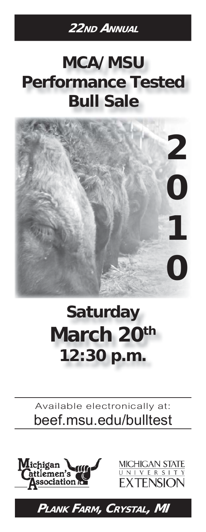# **22ND ANNUAL**

# **MCA/MSU Performance Tested Bull Sale**



# **Saturday March 20th 12:30 p.m.**

# Available electronically at: **beef.msu.edu/bulltest**





**PLANK FARM, CRYSTAL, MI**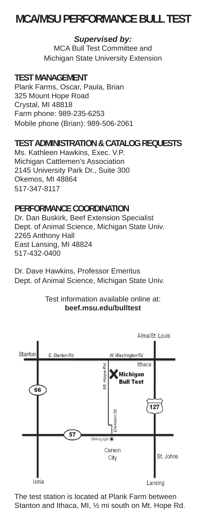# **MCA/MSU PERFORMANCE BULL TEST**

#### *Supervised by:*

MCA Bull Test Committee and Michigan State University Extension

#### **TEST MANAGEMENT**

Plank Farms, Oscar, Paula, Brian 325 Mount Hope Road Crystal, MI 48818 Farm phone: 989-235-6253 Mobile phone (Brian): 989-506-2061

#### **TEST ADMINISTRATION & CATALOG REQUESTS**

Ms. Kathleen Hawkins, Exec. V.P. Michigan Cattlemen's Association 2145 University Park Dr., Suite 300 Okemos, MI 48864 517-347-8117

#### **PERFORMANCE COORDINATION**

Dr. Dan Buskirk, Beef Extension Specialist Dept. of Animal Science, Michigan State Univ. 2265 Anthony Hall East Lansing, MI 48824 517-432-0400

Dr. Dave Hawkins, Professor Emeritus Dept. of Animal Science, Michigan State Univ.

#### Test information available online at: **beef.msu.edu/bulltest**



The test station is located at Plank Farm between Stanton and Ithaca, MI, ½ mi south on Mt. Hope Rd.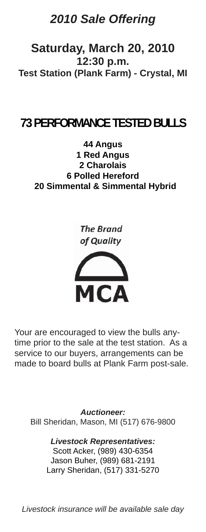# *2010 Sale Offering*

**Saturday, March 20, 2010 12:30 p.m. Test Station (Plank Farm) - Crystal, MI**

# **73 PERFORMANCE TESTED BULLS**

**44 Angus 1 Red Angus 2 Charolais 6 Polled Hereford 20 Simmental & Simmental Hybrid**





Your are encouraged to view the bulls anytime prior to the sale at the test station. As a service to our buyers, arrangements can be made to board bulls at Plank Farm post-sale.

*Auctioneer:* Bill Sheridan, Mason, MI (517) 676-9800

> *Livestock Representatives:* Scott Acker, (989) 430-6354 Jason Buher, (989) 681-2191 Larry Sheridan, (517) 331-5270

*Livestock insurance will be available sale day*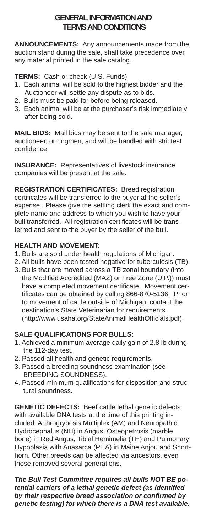#### **GENERAL INFORMATION AND TERMS AND CONDITIONS**

**ANNOUNCEMENTS:** Any announcements made from the auction stand during the sale, shall take precedence over any material printed in the sale catalog.

**TERMS:** Cash or check (U.S. Funds)

- 1. Each animal will be sold to the highest bidder and the Auctioneer will settle any dispute as to bids.
- 2. Bulls must be paid for before being released.
- 3. Each animal will be at the purchaser's risk immediately after being sold.

**MAIL BIDS:** Mail bids may be sent to the sale manager, auctioneer, or ringmen, and will be handled with strictest confidence.

**INSURANCE:** Representatives of livestock insurance companies will be present at the sale.

**REGISTRATION CERTIFICATES:** Breed registration certificates will be transferred to the buyer at the seller's expense. Please give the settling clerk the exact and complete name and address to which you wish to have your bull transferred. All registration certificates will be transferred and sent to the buyer by the seller of the bull.

#### **HEALTH AND MOVEMENT:**

- 1. Bulls are sold under health regulations of Michigan.
- 2. All bulls have been tested negative for tuberculosis (TB).
- 3. Bulls that are moved across a TB zonal boundary (into the Modified Accredited (MAZ) or Free Zone (U.P.)) must have a completed movement certificate. Movement certificates can be obtained by calling 866-870-5136. Prior to movement of cattle outside of Michigan, contact the destination's State Veterinarian for requirements (http://www.usaha.org/StateAnimalHealthOfficials.pdf).

#### **SALE QUALIFICATIONS FOR BULLS:**

- 1. Achieved a minimum average daily gain of 2.8 lb during the 112-day test.
- 2. Passed all health and genetic requirements.
- 3. Passed a breeding soundness examination (see BREEDING SOUNDNESS).
- 4. Passed minimum qualifications for disposition and structural soundness.

**GENETIC DEFECTS:** Beef cattle lethal genetic defects with available DNA tests at the time of this printing included: Arthrogryposis Multiplex (AM) and Neuropathic Hydrocephalus (NH) in Angus, Osteopetrosis (marble bone) in Red Angus, Tibial Hemimelia (TH) and Pulmonary Hypoplasia with Anasarca (PHA) in Maine Anjou and Shorthorn. Other breeds can be affected via ancestors, even those removed several generations.

*The Bull Test Committee requires all bulls NOT BE potential carriers of a lethal genetic defect (as identified by their respective breed association or confirmed by genetic testing) for which there is a DNA test available.*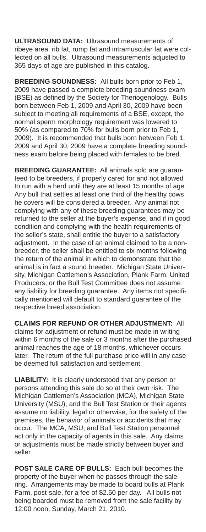**ULTRASOUND DATA:** Ultrasound measurements of ribeye area, rib fat, rump fat and intramuscular fat were collected on all bulls. Ultrasound measurements adjusted to 365 days of age are published in this catalog.

**BREEDING SOUNDNESS:** All bulls born prior to Feb 1, 2009 have passed a complete breeding soundness exam (BSE) as defined by the Society for Theriogenology. Bulls born between Feb 1, 2009 and April 30, 2009 have been subject to meeting all requirements of a BSE, except, the normal sperm morphology requirement was lowered to 50% (as compared to 70% for bulls born prior to Feb 1, 2009). It is recommended that bulls born between Feb 1, 2009 and April 30, 2009 have a complete breeding soundness exam before being placed with females to be bred.

**BREEDING GUARANTEE:** All animals sold are guaranteed to be breeders, if properly cared for and not allowed to run with a herd until they are at least 15 months of age. Any bull that settles at least one third of the healthy cows he covers will be considered a breeder. Any animal not complying with any of these breeding guarantees may be returned to the seller at the buyer's expense, and if in good condition and complying with the health requirements of the seller's state, shall entitle the buyer to a satisfactory adjustment. In the case of an animal claimed to be a nonbreeder, the seller shall be entitled to six months following the return of the animal in which to demonstrate that the animal is in fact a sound breeder. Michigan State University, Michigan Cattlemen's Association, Plank Farm, United Producers, or the Bull Test Committee does not assume any liability for breeding guarantee. Any items not specifically mentioned will default to standard guarantee of the respective breed association.

**CLAIMS FOR REFUND OR OTHER ADJUSTMENT:** All claims for adjustment or refund must be made in writing within 6 months of the sale or 3 months after the purchased animal reaches the age of 18 months, whichever occurs later. The return of the full purchase price will in any case be deemed full satisfaction and settlement.

**LIABILITY:** It is clearly understood that any person or persons attending this sale do so at their own risk. The Michigan Cattlemen's Association (MCA), Michigan State University (MSU), and the Bull Test Station or their agents assume no liability, legal or otherwise, for the safety of the premises, the behavior of animals or accidents that may occur. The MCA, MSU, and Bull Test Station personnel act only in the capacity of agents in this sale. Any claims or adjustments must be made strictly between buyer and seller.

**POST SALE CARE OF BULLS:** Each bull becomes the property of the buyer when he passes through the sale ring. Arrangements may be made to board bulls at Plank Farm, post-sale, for a fee of \$2.50 per day. All bulls not being boarded must be removed from the sale facility by 12:00 noon, Sunday, March 21, 2010.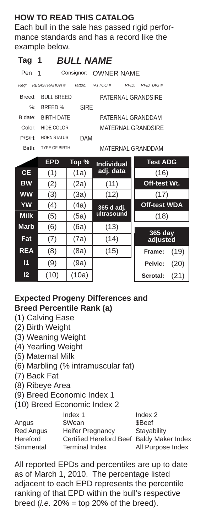#### **HOW TO READ THIS CATALOG**

Each bull in the sale has passed rigid performance standards and has a record like the example below.

# **Tag 1** *BULL NAME*

| Pen 1              |                      |             | Consignor: OWNER NAME                |  |  |  |
|--------------------|----------------------|-------------|--------------------------------------|--|--|--|
| Req:               | <b>REGISTRATION#</b> | Tattoo:     | TATTOO#<br><b>RFID TAG#</b><br>RFID: |  |  |  |
| Breed:             | BULL BREED           |             | PATERNAL GRANDSIRE                   |  |  |  |
| %:                 | <b>BREED</b> %       | <b>SIRF</b> |                                      |  |  |  |
| B date:            | <b>BIRTH DATE</b>    |             | PATERNAL GRANDDAM                    |  |  |  |
| Color:             | HIDE COLOR           |             | MATERNAL GRANDSIRE                   |  |  |  |
| P/S/H              | HORN STATUS          | DAM         |                                      |  |  |  |
| Rirth <sup>.</sup> | <b>TYPE OF BIRTH</b> |             | MATERNAI GRANDDAM                    |  |  |  |

|                 | <b>EPD</b> | Top % | <b>Individual</b> | <b>Test ADG</b>     |
|-----------------|------------|-------|-------------------|---------------------|
| <b>CE</b>       | (1)        | (1a)  | adj. data         | (16)                |
| <b>BW</b>       | (2)        | (2a)  | (11)              | Off-test Wt.        |
| <b>WW</b>       | (3)        | (3a)  | (12)              | (17)                |
| <b>YW</b>       | (4)        | (4a)  | 365 d adj.        | <b>Off-test WDA</b> |
| <b>Milk</b>     | (5)        | (5a)  | ultrasound        | (18)                |
| <b>Marb</b>     | (6)        | (6a)  | (13)              |                     |
| Fat             | (7)        | (7a)  | (14)              | 365 day<br>adjusted |
| <b>REA</b>      | (8)        | (8a)  | (15)              | (19)<br>Frame:      |
| 11              | (9)        | (9a)  |                   | Pelvic:<br>(20)     |
| $\overline{12}$ | (10)       | (10a) |                   | (21)<br>Scrotal:    |

#### **Expected Progeny Differences and Breed Percentile Rank (a)**

- (1) Calving Ease
- (2) Birth Weight
- (3) Weaning Weight
- (4) Yearling Weight
- (5) Maternal Milk
- (6) Marbling (% intramuscular fat)
- (7) Back Fat
- (8) Ribeye Area
- (9) Breed Economic Index 1
- (10) Breed Economic Index 2

|                  | Index 1                                   | Index 2           |
|------------------|-------------------------------------------|-------------------|
| Angus            | \$Wean                                    | \$Beef            |
| <b>Red Angus</b> | <b>Heifer Pregnancy</b>                   | Stayability       |
| Hereford         | Certified Hereford Beef Baldy Maker Index |                   |
| Simmental        | <b>Terminal Index</b>                     | All Purpose Index |

All reported EPDs and percentiles are up to date as of March 1, 2010. The percentage listed adjacent to each EPD represents the percentile ranking of that EPD within the bull's respective breed (*i.e.*  $20\%$  = top 20% of the breed).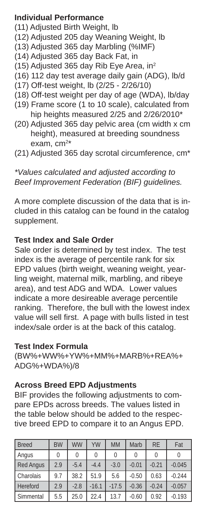#### **Individual Performance**

- (11) Adjusted Birth Weight, lb
- (12) Adjusted 205 day Weaning Weight, lb
- (13) Adjusted 365 day Marbling (%IMF)
- (14) Adjusted 365 day Back Fat, in
- (15) Adjusted 365 day Rib Eye Area, in<sup>2</sup>
- (16) 112 day test average daily gain (ADG), lb/d
- (17) Off-test weight, lb (2/25 2/26/10)
- (18) Off-test weight per day of age (WDA), lb/day
- (19) Frame score (1 to 10 scale), calculated from hip heights measured 2/25 and 2/26/2010\*
- (20) Adjusted 365 day pelvic area (cm width x cm height), measured at breeding soundness exam, cm<sup>2\*</sup>
- (21) Adjusted 365 day scrotal circumference, cm\*

#### *\*Values calculated and adjusted according to Beef Improvement Federation (BIF) guidelines.*

A more complete discussion of the data that is included in this catalog can be found in the catalog supplement.

#### **Test Index and Sale Order**

Sale order is determined by test index. The test index is the average of percentile rank for six EPD values (birth weight, weaning weight, yearling weight, maternal milk, marbling, and ribeye area), and test ADG and WDA. Lower values indicate a more desireable average percentile ranking. Therefore, the bull with the lowest index value will sell first. A page with bulls listed in test index/sale order is at the back of this catalog.

#### **Test Index Formula**

(BW%+WW%+YW%+MM%+MARB%+REA%+ ADG%+WDA%)/8

#### **Across Breed EPD Adjustments**

BIF provides the following adjustments to compare EPDs across breeds. The values listed in the table below should be added to the respective breed EPD to compare it to an Angus EPD.

| <b>Breed</b>     | <b>BW</b> | <b>WW</b> | YW      | <b>MM</b> | Marb    | <b>RE</b> | Fat      |
|------------------|-----------|-----------|---------|-----------|---------|-----------|----------|
| Angus            | 0         | 0         | 0       | 0         | 0       | 0         |          |
| <b>Red Angus</b> | 2.9       | $-5.4$    | $-4.4$  | $-3.0$    | $-0.01$ | $-0.21$   | $-0.045$ |
| Charolais        | 9.7       | 38.2      | 51.9    | 5.6       | $-0.50$ | 0.63      | $-0.244$ |
| <b>Hereford</b>  | 2.9       | $-2.8$    | $-16.1$ | $-17.5$   | $-0.36$ | $-0.24$   | $-0.057$ |
| Simmental        | 5.5       | 25.0      | 22.4    | 13.7      | $-0.60$ | 0.92      | $-0.193$ |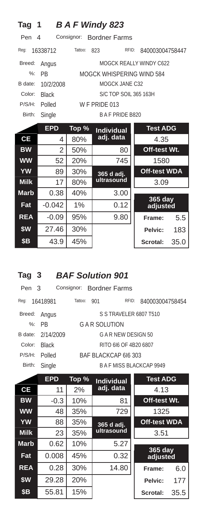| Tag                                            |              |         | <b>BAF Windy 823</b>      |                         |      |  |  |
|------------------------------------------------|--------------|---------|---------------------------|-------------------------|------|--|--|
| Consignor:<br><b>Bordner Farms</b><br>Pen<br>4 |              |         |                           |                         |      |  |  |
| Req:                                           | 16338712     | Tattoo: | RFID:<br>823              | 840003004758447         |      |  |  |
| Breed:                                         | Angus        |         |                           | MOGCK REALLY WINDY C622 |      |  |  |
| $%$ :                                          | <b>PR</b>    |         | MOGCK WHISPERING WIND 584 |                         |      |  |  |
| B date:                                        | 10/2/2008    |         | MOGCK JANE C32            |                         |      |  |  |
| Color:                                         | <b>Black</b> |         | S/C TOP SOIL 365 163H     |                         |      |  |  |
| P/S/H:                                         | Polled       |         | W F PRIDE 013             |                         |      |  |  |
| Birth:                                         | Single       |         | <b>BAF PRIDE B820</b>     |                         |      |  |  |
|                                                | <b>EPD</b>   | Top %   | <b>Individual</b>         | <b>Test ADG</b>         |      |  |  |
| СE                                             | 4            | 80%     | adj. data                 | 4.35                    |      |  |  |
| <b>BW</b>                                      | 2            | 50%     | 80                        | Off-test Wt.            |      |  |  |
| <b>WW</b>                                      | 52           | 20%     | 745                       | 1580                    |      |  |  |
| <b>YW</b>                                      | 89           | 30%     | 365 d adj.                | <b>Off-test WDA</b>     |      |  |  |
| <b>Milk</b>                                    | 17           | 80%     | ultrasound                | 3.09                    |      |  |  |
| <b>Marb</b>                                    | 0.38         | 40%     | 3.00                      | 365 day                 |      |  |  |
| Fat                                            | $-0.042$     | 1%      | 0.12                      | adjusted                |      |  |  |
| <b>REA</b>                                     | $-0.09$      | 95%     | 9.80                      | Frame:                  | 5.5  |  |  |
| \$W                                            | 27.46        | 30%     |                           | Pelvic:                 | 183  |  |  |
| \$В                                            | 43.9         | 45%     |                           | Scrotal:                | 35.0 |  |  |

### **Tag 3** *BAF Solution 901*

| Pen 3  |                   |                       | Consignor: Bordner Farms |                        |                          |  |
|--------|-------------------|-----------------------|--------------------------|------------------------|--------------------------|--|
| Reg:   | 16418981          | Tattoo:               | 901                      | RFID:                  | 840003004758454          |  |
| Breed: | Angus             |                       |                          | S S TRAVELER 6807 T510 |                          |  |
|        | $%:$ PR           | G A R SOLUTION        |                          |                        |                          |  |
|        | B date: 2/14/2009 | G A R NEW DESIGN 50   |                          |                        |                          |  |
| Color: | <b>Black</b>      | RITO 616 OF 4B20 6807 |                          |                        |                          |  |
| P/S/H: | Polled            | BAF BLACKCAP 616 303  |                          |                        |                          |  |
| Birth: | Single            |                       |                          |                        | B A F MISS BLACKCAP 9949 |  |
|        |                   |                       |                          |                        |                          |  |

|             | <b>EPD</b> | Top % | <b>Individual</b> | <b>Test ADG</b>     |      |
|-------------|------------|-------|-------------------|---------------------|------|
| <b>CE</b>   | 11         | 2%    | adj. data         | 4.13                |      |
| <b>BW</b>   | $-0.3$     | 10%   | 81                | Off-test Wt.        |      |
| <b>WW</b>   | 48         | 35%   | 729               | 1325                |      |
| <b>YW</b>   | 88         | 35%   | 365 d adj.        | <b>Off-test WDA</b> |      |
| <b>Milk</b> | 23         | 35%   | ultrasound        | 3.51                |      |
| <b>Marb</b> | 0.62       | 10%   | 5.27              |                     |      |
| Fat         | 0.008      | 45%   | 0.32              | 365 day<br>adjusted |      |
| <b>REA</b>  | 0.28       | 30%   | 14.80             | Frame:              | 6.0  |
| \$W         | 29.28      | 20%   |                   | Pelvic:             | 177  |
| <b>\$B</b>  | 55.81      | 15%   |                   | Scrotal:            | 35.5 |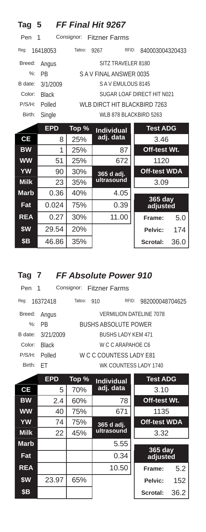| Tag 5         |              |            | <b>FF Final Hit 9267</b>       |                            |
|---------------|--------------|------------|--------------------------------|----------------------------|
| Pen           | 1            | Consignor: | Fitzner Farms                  |                            |
| Req:          | 16418053     | Tattoo:    | RFID:<br>9267                  | 840003004320433            |
| Breed:        | Angus        |            | SITZ TRAVELER 8180             |                            |
| $\frac{9}{6}$ | <b>PR</b>    |            | SAV FINAL ANSWER 0035          |                            |
| B date:       | 3/1/2009     |            | SAVEMULOUS 8145                |                            |
| Color:        | <b>Black</b> |            |                                | SUGAR LOAF DIRECT HIT N021 |
| P/S/H:        | Polled       |            | WI B DIRCT HIT BI ACKBIRD 7263 |                            |
| Birth:        | Single       |            | WLB 878 BLACKBIRD 5263         |                            |
|               |              |            |                                |                            |
|               | <b>EPD</b>   | Top %      | <b>Individual</b>              | <b>Test ADG</b>            |
| <b>CE</b>     | 8            | 25%        | adj. data                      | 3.46                       |
| <b>BW</b>     | 1            | 25%        | 87                             | Off-test Wt.               |
| <b>WW</b>     | 51           | 25%        | 672                            | 1120                       |
| <b>YW</b>     | 90           | 30%        |                                | <b>Off-test WDA</b>        |
| <b>Milk</b>   | 23           | 35%        | 365 d adj.<br>ultrasound       | 3.09                       |
| <b>Marb</b>   | 0.36         | 40%        | 4.05                           |                            |
| Fat           | 0.024        | 75%        | 0.39                           | 365 day<br>adjusted        |

| Tag 7 | FF Absolute Power 910 |  |
|-------|-----------------------|--|
|       |                       |  |

| Pen 1   |                                          |                           |     | Consignor: Fitzner Farms |                                |  |
|---------|------------------------------------------|---------------------------|-----|--------------------------|--------------------------------|--|
| Reg:    | 16372418                                 | Tattoo:                   | 910 | RFID:                    | 982000048704625                |  |
| Breed:  | Angus                                    |                           |     |                          | <b>VERMILION DATELINE 7078</b> |  |
| %:      | <b>BUSHS ABSOLUTE POWER</b><br><b>PR</b> |                           |     |                          |                                |  |
| B date: | 3/21/2009                                | <b>BUSHS LADY KEM 471</b> |     |                          |                                |  |
| Color:  | <b>Black</b>                             | W C C ARAPAHOF C6         |     |                          |                                |  |
| P/S/H:  | Polled                                   | W C C COUNTESS LADY E81   |     |                          |                                |  |
| Birth:  | H.                                       |                           |     | WK COUNTESS LADY 1740    |                                |  |
|         |                                          |                           |     |                          |                                |  |

**\$W** 29.54 20% **Pelvic:** 174 **\$B** 46.86 35% **Scrotal:** 36.0

|             | <b>EPD</b> | Top % | <b>Individual</b> | <b>Test ADG</b>     |      |
|-------------|------------|-------|-------------------|---------------------|------|
| <b>CE</b>   | 5          | 70%   | adj. data         | 3.10                |      |
| <b>BW</b>   | 2.4        | 60%   | 78                | Off-test Wt.        |      |
| <b>WW</b>   | 40         | 75%   | 671               | 1135                |      |
| <b>YW</b>   | 74         | 75%   | 365 d adj.        | <b>Off-test WDA</b> |      |
| <b>Milk</b> | 22         | 45%   | ultrasound        | 3.32                |      |
| <b>Marb</b> |            |       | 5.55              |                     |      |
| Fat         |            |       | 0.34              | 365 day<br>adjusted |      |
| <b>REA</b>  |            |       | 10.50             | Frame:              | 5.2  |
| \$W         | 23.97      | 65%   |                   | Pelvic:             | 152  |
| <b>\$B</b>  |            |       |                   | Scrotal:            | 36.2 |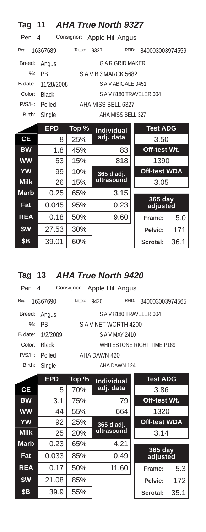| Tag         | 11           |            | <b>AHA True North 9327</b> |                         |
|-------------|--------------|------------|----------------------------|-------------------------|
| Pen         | 4            | Consignor: | Apple Hill Angus           |                         |
| Reg:        | 16367689     | Tattoo:    | RFID:<br>9327              | 840003003974559         |
| Breed:      | Angus        |            | G A R GRID MAKER           |                         |
| $%$ :       | <b>PB</b>    |            | SAV BISMARCK 5682          |                         |
| B date:     | 11/28/2008   |            | SAVABIGALE 0451            |                         |
| Color:      | <b>Black</b> |            | SAV8180 TRAVELER 004       |                         |
| P/S/H:      | Polled       |            | AHA MISS BELL 6327         |                         |
| Birth:      | Single       |            | AHA MISS BELL 327          |                         |
|             | <b>EPD</b>   | Top %      | <b>Individual</b>          | <b>Test ADG</b>         |
| СE          | 8            | 25%        | adj. data                  | 3.50                    |
| <b>BW</b>   | 1.8          | 45%        | 83                         | Off-test Wt.            |
| <b>WW</b>   | 53           | 15%        | 818                        | 1390                    |
| YW          | 99           | 10%        | 365 d adj.                 | <b>Off-test WDA</b>     |
| <b>Milk</b> | 26           | 15%        | ultrasound                 | 3.05                    |
| <b>Marb</b> | 0.25         | 65%        | 3.15                       |                         |
| Fat         | 0.045        | 95%        | 0.23                       | 365 day<br>adjusted     |
| <b>REA</b>  | 0.18         | 50%        | 9.60                       | 5.0<br>Frame:           |
| \$W         | 27.53        | 30%        |                            | 171<br>Pelvic:          |
| \$Β         | 39.01        | 60%        |                            | 36.1<br><b>Scrotal:</b> |

# **Tag 13** *AHA True North 9420*

| Pen 4   |              |         | Consignor: Apple Hill Angus |       |                            |
|---------|--------------|---------|-----------------------------|-------|----------------------------|
| Req:    | 16367690     | Tattoo: | 9420                        | RFID: | 840003003974565            |
| Breed:  | Angus        |         |                             |       | SAV8180 TRAVELER 004       |
|         | $\%$ : PR    |         | SAV NET WORTH 4200          |       |                            |
| B date: | 1/2/2009     |         | S A V MAY 2410              |       |                            |
| Color:  | <b>Black</b> |         |                             |       | WHITESTONE RIGHT TIME P169 |
| P/S/H:  | Polled       |         | AHA DAWN 420                |       |                            |
| Birth:  | Single       |         | AHA DAWN 124                |       |                            |
|         |              | - -     |                             |       |                            |

|             | <b>EPD</b> | Top % | <b>Individual</b> | <b>Test ADG</b>     |      |
|-------------|------------|-------|-------------------|---------------------|------|
| <b>CE</b>   | 5          | 70%   | adj. data         | 3.86                |      |
| <b>BW</b>   | 3.1        | 75%   | 79                | Off-test Wt.        |      |
| <b>WW</b>   | 44         | 55%   | 664               | 1320                |      |
| <b>YW</b>   | 92         | 25%   | 365 d adj.        | <b>Off-test WDA</b> |      |
| <b>Milk</b> | 25         | 20%   | ultrasound        | 3.14                |      |
| <b>Marb</b> | 0.23       | 65%   | 4.21              |                     |      |
| Fat         | 0.033      | 85%   | 0.49              | 365 day<br>adjusted |      |
| <b>REA</b>  | 0.17       | 50%   | 11.60             | Frame:              | 5.3  |
| \$W         | 21.08      | 85%   |                   | Pelvic:             | 172  |
| <b>\$B</b>  | 39.9       | 55%   |                   | Scrotal:            | 35.1 |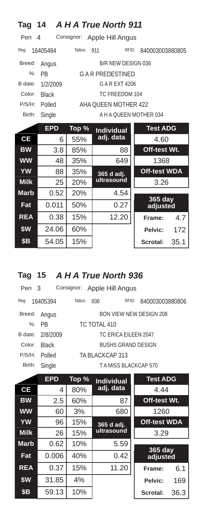| <b>Tag</b>    | 14                                  |         | <b>AHA True North 911</b> |                            |      |  |  |  |
|---------------|-------------------------------------|---------|---------------------------|----------------------------|------|--|--|--|
| Pen           | Consignor:<br>Apple Hill Angus<br>4 |         |                           |                            |      |  |  |  |
| Reg:          | 16405484                            | Tattoo: | 911<br>RFID:              | 840003003880805            |      |  |  |  |
| Breed:        | Angus                               |         | B/R NEW DESIGN 036        |                            |      |  |  |  |
| $\frac{9}{6}$ | <b>PR</b>                           |         | <b>GAR PREDESTINED</b>    |                            |      |  |  |  |
| B date:       | 1/2/2009                            |         | G A R F X T 4206          |                            |      |  |  |  |
| Color:        | <b>Black</b>                        |         | TC FREEDOM 104            |                            |      |  |  |  |
| P/S/H:        | Polled                              |         | AHA OUEEN MOTHER 422      |                            |      |  |  |  |
| Birth:        | Single                              |         | A H A OUEEN MOTHER 034    |                            |      |  |  |  |
|               | <b>EPD</b>                          | Top %   | <b>Individual</b>         | <b>Test ADG</b>            |      |  |  |  |
| <b>CE</b>     | 6                                   | 55%     | adj. data                 | 4.60                       |      |  |  |  |
| <b>BW</b>     | 3.8                                 | 85%     | 88                        | Off-test Wt.               |      |  |  |  |
| <b>WW</b>     | 48                                  | 35%     | 649                       | 1368                       |      |  |  |  |
| YW            | 88                                  | 35%     | 365 d adj.                | <b>Off-test WDA</b>        |      |  |  |  |
| <b>Milk</b>   | 25                                  | 20%     | ultrasound                | 3.26                       |      |  |  |  |
| <b>Marb</b>   | 0.52                                | 20%     | 4.54                      |                            |      |  |  |  |
| Fat           | 0.011                               | 50%     | 0.27                      | <b>365 day</b><br>adjusted |      |  |  |  |
| <b>REA</b>    | 0.38                                | 15%     | 12.20                     | Frame:                     | 4.7  |  |  |  |
| \$W           | 24.06                               | 60%     |                           | Pelvic:                    | 172  |  |  |  |
| \$В           | 54.05                               | 15%     |                           | <b>Scrotal:</b>            | 35.1 |  |  |  |

### **Tag 15** *A H A True North 936*

| Pen 3               |         |                     |                                                                                                                                                |
|---------------------|---------|---------------------|------------------------------------------------------------------------------------------------------------------------------------------------|
| 16405394            | Tattoo: | RFID:               | 840003003880806                                                                                                                                |
| Angus               |         |                     |                                                                                                                                                |
| %: PR               |         |                     |                                                                                                                                                |
| B date:<br>2/8/2009 |         |                     |                                                                                                                                                |
| <b>Black</b>        |         |                     |                                                                                                                                                |
| Polled              |         |                     |                                                                                                                                                |
| Single              |         |                     |                                                                                                                                                |
|                     |         | 936<br>TC TOTAL 410 | Consignor: Apple Hill Angus<br>BON VIEW NEW DESIGN 208<br>TC FRICA FILFEN 2047<br>BUSHS GRAND DESIGN<br>TA BLACKCAP 313<br>TAMISS BLACKCAP 570 |

|             | <b>EPD</b> | Top % | <b>Individual</b> | <b>Test ADG</b>     |      |
|-------------|------------|-------|-------------------|---------------------|------|
| <b>CE</b>   | 4          | 80%   | adj. data         | 4.44                |      |
| <b>BW</b>   | 2.5        | 60%   | 87                | Off-test Wt.        |      |
| <b>WW</b>   | 60         | 3%    | 680               | 1260                |      |
| <b>YW</b>   | 96         | 15%   | 365 d adj.        | <b>Off-test WDA</b> |      |
| <b>Milk</b> | 26         | 15%   | ultrasound        | 3.29                |      |
| <b>Marb</b> | 0.62       | 10%   | 5.59              |                     |      |
| Fat         | 0.006      | 40%   | 0.42              | 365 day<br>adjusted |      |
| <b>REA</b>  | 0.37       | 15%   | 11.20             | Frame:              | 6.1  |
| \$W         | 31.85      | 4%    |                   | Pelvic:             | 169  |
| <b>\$B</b>  | 59.13      | 10%   |                   | Scrotal:            | 36.3 |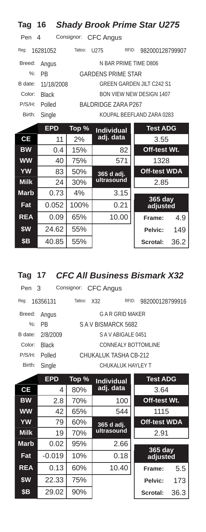| Tag           | 16           |            |                           | <b>Shady Brook Prime Star U275</b> |
|---------------|--------------|------------|---------------------------|------------------------------------|
| Pen           | 4            | Consignor: | <b>CFC Angus</b>          |                                    |
| Req:          | 16281052     | Tattoo:    | U <sub>275</sub><br>RFID: | 982000128799907                    |
| Breed:        | Angus        |            | N BAR PRIME TIME D806     |                                    |
| $\frac{9}{6}$ | PR           |            | <b>GARDENS PRIME STAR</b> |                                    |
| B date:       | 11/18/2008   |            |                           | <b>GREEN GARDEN JILT C242 S1</b>   |
| Color:        | <b>Black</b> |            |                           | <b>BON VIEW NEW DESIGN 1407</b>    |
| P/S/H:        | Polled       |            | BALDRIDGE ZARA P267       |                                    |
| Birth:        | Single       |            |                           | KOUPAL BEEFLAND ZARA 0283          |
|               | <b>EPD</b>   | Top %      | <b>Individual</b>         | <b>Test ADG</b>                    |
| <b>CE</b>     | 11           | 2%         | adj. data                 | 3.55                               |
| <b>BW</b>     | 0.4          | 15%        | 82                        | Off-test Wt.                       |
| <b>WW</b>     | 40           | 75%        | 571                       | 1328                               |
| <b>YW</b>     | 83           | 50%        | 365 d adj.                | <b>Off-test WDA</b>                |
| <b>Milk</b>   | 24           | 30%        | ultrasound                | 2.85                               |
| <b>Marb</b>   | 0.73         | 4%         | 3.15                      |                                    |
| Fat           | 0.052        | 100%       | 0.21                      | 365 day<br>adjusted                |
| <b>REA</b>    | 0.09         | 65%        | 10.00                     | 4.9<br>Frame:                      |
| \$W           | 24.62        | 55%        |                           | 149<br>Pelvic:                     |
| \$В           | 40.85        | 55%        |                           | 36.2<br>Scrotal:                   |

### **Tag 17** *CFC All Business Bismark X32*

| Pen 3   |              | Consignor: CFC Angus |                       |                 |  |  |  |
|---------|--------------|----------------------|-----------------------|-----------------|--|--|--|
| Reg:    | 16356131     | Tattoo:<br>X32       | RFID:                 | 982000128799916 |  |  |  |
| Breed:  | Angus        |                      | G A R GRID MAKER      |                 |  |  |  |
|         | $\%$ : PR    | S A V BISMARCK 5682  |                       |                 |  |  |  |
| B date: | 2/8/2009     | SAVABIGALE 0451      |                       |                 |  |  |  |
| Color:  | <b>Black</b> |                      | CONNEALY BOTTOMLINE   |                 |  |  |  |
| P/S/H:  | Polled       |                      | CHUKALUK TASHA CB-212 |                 |  |  |  |
| Birth:  | Single       |                      | CHUKALUK HAYLEY T     |                 |  |  |  |
|         |              |                      |                       |                 |  |  |  |

|             | <b>EPD</b> | Top % | <b>Individual</b>                 | <b>Test ADG</b>     |      |
|-------------|------------|-------|-----------------------------------|---------------------|------|
| <b>CE</b>   | 4          | 80%   | adj. data                         | 3.64                |      |
| <b>BW</b>   | 2.8        | 70%   | 100                               | Off-test Wt.        |      |
| <b>WW</b>   | 42         | 65%   | 544                               | 1115                |      |
| <b>YW</b>   | 79         | 60%   | <b>Off-test WDA</b><br>365 d adj. |                     |      |
| <b>Milk</b> | 19         | 70%   | ultrasound                        | 2.91                |      |
| <b>Marb</b> | 0.02       | 95%   | 2.66                              |                     |      |
| Fat         | $-0.019$   | 10%   | 0.18                              | 365 day<br>adjusted |      |
| <b>REA</b>  | 0.13       | 60%   | 10.40                             | Frame:              | 5.5  |
| \$W         | 22.33      | 75%   |                                   | Pelvic:             | 173  |
| \$B         | 29.02      | 90%   |                                   | Scrotal:            | 36.3 |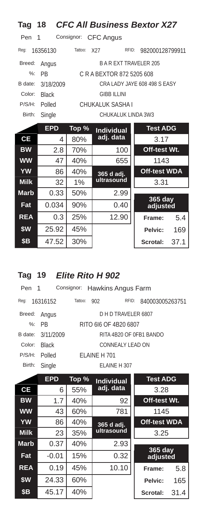| Tag           | 18           |            | <b>CFC All Business Bextor X27</b> |                              |      |
|---------------|--------------|------------|------------------------------------|------------------------------|------|
| Pen           | 1            | Consignor: | <b>CFC Angus</b>                   |                              |      |
| Reg:          | 16356130     | Tattoo:    | X27<br>RFID:                       | 982000128799911              |      |
| Breed:        | Angus        |            | <b>BAREXT TRAVELER 205</b>         |                              |      |
| $\frac{9}{6}$ | <b>PB</b>    |            | C R A BEXTOR 872 5205 608          |                              |      |
| B date:       | 3/18/2009    |            |                                    | CRA LADY JAYE 608 498 S EASY |      |
| Color:        | <b>Black</b> |            | <b>GIBB ILLINI</b>                 |                              |      |
| P/S/H:        | Polled       |            | CHUKALUK SASHA I                   |                              |      |
| Birth:        | Single       |            | CHUKALUK LINDA 3W3                 |                              |      |
|               | <b>EPD</b>   | Top %      | <b>Individual</b>                  | <b>Test ADG</b>              |      |
| <b>CE</b>     | 4            | 80%        | adj. data                          | 3.17                         |      |
| <b>BW</b>     | 2.8          | 70%        | 100                                | Off-test Wt.                 |      |
| <b>WW</b>     | 47           | 40%        | 655                                | 1143                         |      |
| <b>YW</b>     | 86           | 40%        | 365 d adj.                         | <b>Off-test WDA</b>          |      |
| <b>Milk</b>   | 32           | 1%         | ultrasound                         | 3.31                         |      |
| <b>Marb</b>   | 0.33         | 50%        | 2.99                               | 365 day                      |      |
| Fat           | 0.034        | 90%        | 0.40                               | adjusted                     |      |
| <b>REA</b>    | 0.3          | 25%        | 12.90                              | Frame:                       | 5.4  |
| \$W           | 25.92        | 45%        |                                    | Pelvic:                      | 169  |
| \$Β           | 47.52        | 30%        |                                    | Scrotal:                     | 37.1 |

# **Tag 19** *Elite Rito H 902*

| Pen 1  |                   |         |                      | Consignor: Hawkins Angus Farm |       |                         |
|--------|-------------------|---------|----------------------|-------------------------------|-------|-------------------------|
| Req:   | 16316152          | Tattoo: | 902                  |                               | RFID: | 840003005263751         |
| Breed: | Angus             |         |                      | D H D TRAVELER 6807           |       |                         |
|        | $\%$ : PR         |         |                      | RITO 616 OF 4B20 6807         |       |                         |
|        | B date: 3/11/2009 |         |                      |                               |       | RITA 4B20 OF OFB1 BANDO |
| Color: | <b>Black</b>      |         |                      | CONNEALY LEAD ON              |       |                         |
| P/S/H: | Polled            |         | <b>FI AINF H 701</b> |                               |       |                         |
| Birth: | Single            |         |                      | ELAINE H 307                  |       |                         |
|        |                   |         |                      |                               |       |                         |

|             | <b>EPD</b> | Top % | <b>Individual</b> | <b>Test ADG</b>       |      |
|-------------|------------|-------|-------------------|-----------------------|------|
| СE          | 6          | 55%   | adj. data         | 3.28                  |      |
| <b>BW</b>   | 1.7        | 40%   | 92                | Off-test Wt.          |      |
| <b>WW</b>   | 43         | 60%   | 781               | 1145                  |      |
| <b>YW</b>   | 86         | 40%   | 365 d adj.        | <b>Off-test WDA</b>   |      |
| <b>Milk</b> | 23         | 35%   | ultrasound        | 3.25                  |      |
| <b>Marb</b> | 0.37       | 40%   | 2.93              |                       |      |
| Fat         | $-0.01$    | 15%   | 0.32              | $365$ day<br>adjusted |      |
| <b>REA</b>  | 0.19       | 45%   | 10.10             | Frame:                | 5.8  |
| \$W         | 24.33      | 60%   |                   | Pelvic:               | 165  |
| <b>\$B</b>  | 45.17      | 40%   |                   | Scrotal:              | 31.4 |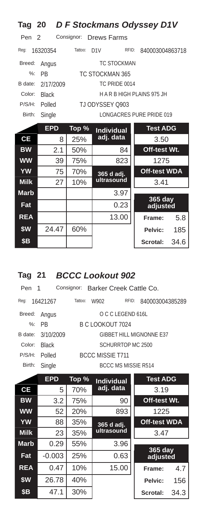| Tag 20        |              |            | D F Stockmans Odyssey D1V |       |                          |      |
|---------------|--------------|------------|---------------------------|-------|--------------------------|------|
| Pen<br>- 2    |              | Consignor: | Drews Farms               |       |                          |      |
| Req:          | 16320354     | Tattoo:    | D1V                       | RFID: | 840003004863718          |      |
| Breed:        | Angus        |            | <b>TC STOCKMAN</b>        |       |                          |      |
| $\frac{9}{6}$ | <b>PB</b>    |            | TC STOCKMAN 365           |       |                          |      |
| B date:       | 2/17/2009    |            | TC PRIDE 0014             |       |                          |      |
| Color:        | <b>Black</b> |            |                           |       | HARBHIGH PLAINS 975 JH   |      |
| P/S/H:        | Polled       |            | TJ ODYSSEY 0903           |       |                          |      |
| Birth:        | Single       |            |                           |       | LONGACRES PURE PRIDE 019 |      |
|               | <b>EPD</b>   | Top %      | <b>Individual</b>         |       | <b>Test ADG</b>          |      |
| <b>CE</b>     | 8            | 25%        | adj. data                 |       | 3.50                     |      |
| <b>BW</b>     | 2.1          | 50%        |                           | 84    | Off-test Wt.             |      |
| <b>WW</b>     | 39           | 75%        | 823                       |       | 1275                     |      |
| YW            | 75           | 70%        | 365 d adj.                |       | <b>Off-test WDA</b>      |      |
| <b>Milk</b>   | 27           | 10%        | ultrasound                |       | 3.41                     |      |
| <b>Marb</b>   |              |            | 3.97                      |       |                          |      |
| Fat           |              |            | 0.23                      |       | 365 day<br>adjusted      |      |
| <b>REA</b>    |              |            | 13.00                     |       | Frame:                   | 5.8  |
| \$W           | 24.47        | 60%        |                           |       | Pelvic:                  | 185  |
| \$Β           |              |            |                           |       | <b>Scrotal:</b>          | 34.6 |

### **Tag 21** *BCCC Lookout 902*

| Pen 1   |              |                         |                  | Consignor: Barker Creek Cattle Co. |                                 |  |
|---------|--------------|-------------------------|------------------|------------------------------------|---------------------------------|--|
| Reg:    | 16421267     | Tattoo:                 | W902             | RFID:                              | 840003004385289                 |  |
| Breed:  | Angus        |                         |                  | O C C LEGEND 616L                  |                                 |  |
|         | $%:$ PR      |                         | B C LOOKOUT 7024 |                                    |                                 |  |
| B date: | 3/10/2009    |                         |                  |                                    | <b>GIBBET HILL MIGNONNE E37</b> |  |
| Color:  | <b>Black</b> | SCHURRTOP MC 2500       |                  |                                    |                                 |  |
| P/S/H:  | Polled       | <b>BCCC MISSIE T711</b> |                  |                                    |                                 |  |
| Birth:  | Single       |                         |                  | BCCC MS MISSIE R514                |                                 |  |

|             | <b>EPD</b> | Top % | <b>Individual</b> | <b>Test ADG</b>            |      |
|-------------|------------|-------|-------------------|----------------------------|------|
| <b>CE</b>   | 5          | 70%   | adj. data         | 3.19                       |      |
| <b>BW</b>   | 3.2        | 75%   | 90                | Off-test Wt.               |      |
| <b>WW</b>   | 52         | 20%   | 893               | 1225                       |      |
| <b>YW</b>   | 88         | 35%   | 365 d adj.        | <b>Off-test WDA</b>        |      |
| <b>Milk</b> | 23         | 35%   | ultrasound        | 3.47                       |      |
| <b>Marb</b> | 0.29       | 55%   | 3.96              |                            |      |
| Fat         | $-0.003$   | 25%   | 0.63              | <b>365 day</b><br>adjusted |      |
| <b>REA</b>  | 0.47       | 10%   | 15.00             | Frame:                     | 4.7  |
| \$W         | 26.78      | 40%   |                   | Pelvic:                    | 156  |
| <b>\$B</b>  | 47.1       | 30%   |                   | Scrotal:                   | 34.3 |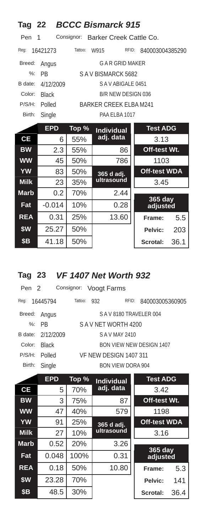| Tag 22          |              |         | <b>BCCC Bismarck 915</b>           |                     |
|-----------------|--------------|---------|------------------------------------|---------------------|
| Pen             | 1            |         | Consignor: Barker Creek Cattle Co. |                     |
| Req:            | 16421273     | Tattoo: | RFID:<br>W915                      | 840003004385290     |
| Breed:          | Angus        |         | <b>GAR GRID MAKER</b>              |                     |
| $\frac{9}{6}$ : | <b>PR</b>    |         | SAV BISMARCK 5682                  |                     |
| B date:         | 4/12/2009    |         | SAVABIGALE 0451                    |                     |
| Color:          | <b>Black</b> |         | B/R NEW DESIGN 036                 |                     |
| P/S/H:          | Polled       |         | <b>BARKER CREEK ELBA M241</b>      |                     |
| Birth:          | Single       |         | PAA ELBA 1017                      |                     |
|                 | <b>EPD</b>   | Top %   | <b>Individual</b>                  | <b>Test ADG</b>     |
| <b>CE</b>       | 6            | 55%     | adj. data                          | 3.13                |
| <b>BW</b>       | 2.3          | 55%     | 86                                 | Off-test Wt.        |
| <b>WW</b>       | 45           | 50%     | 786                                | 1103                |
| <b>YW</b>       | 83           | 50%     | 365 d adj.                         | <b>Off-test WDA</b> |
| <b>Milk</b>     | 23           | 35%     | ultrasound                         | 3.45                |
| <b>Marb</b>     | 0.2          | 70%     | 2.44                               |                     |
| Fat             | $-0.014$     | 10%     | 0.28                               | 365 day<br>adjusted |
| <b>REA</b>      | 0.31         | 25%     | 13.60                              | 5.5<br>Frame:       |
| \$W             | 25.27        | 50%     |                                    | Pelvic:<br>203      |
| <b>\$B</b>      | 41.18        | 50%     |                                    | 36.1<br>Scrotal:    |

# **Tag 23** *VF 1407 Net Worth 932*

| Pen 2  |                   |                          | Consignor: Voogt Farms |                          |                 |  |
|--------|-------------------|--------------------------|------------------------|--------------------------|-----------------|--|
| Req:   | 16445794          | Tattoo:                  | 932                    | RFID:                    | 840003005360905 |  |
| Breed: | Angus             | SAV8180 TRAVELER 004     |                        |                          |                 |  |
|        | $\%$ : PR         | SAV NFT WORTH 4200       |                        |                          |                 |  |
|        | B date: 2/12/2009 | S A V MAY 2410           |                        |                          |                 |  |
| Color: | <b>Black</b>      | BON VIEW NEW DESIGN 1407 |                        |                          |                 |  |
| P/S/H: | Polled            | VF NEW DESIGN 1407 311   |                        |                          |                 |  |
| Birth: | Single            |                          |                        | <b>BON VIEW DORA 904</b> |                 |  |
|        |                   |                          |                        |                          |                 |  |

|             | <b>EPD</b> | Top % | <b>Individual</b>        | <b>Test ADG</b>     |      |
|-------------|------------|-------|--------------------------|---------------------|------|
| <b>CE</b>   | 5          | 70%   | adj. data                | 3.42                |      |
| <b>BW</b>   | 3          | 75%   | 87                       | Off-test Wt.        |      |
| <b>WW</b>   | 47         | 40%   | 579                      | 1198                |      |
| <b>YW</b>   | 91         | 25%   | 365 d adj.<br>ultrasound | <b>Off-test WDA</b> |      |
| <b>Milk</b> | 27         | 10%   |                          | 3.16                |      |
| <b>Marb</b> | 0.52       | 20%   | 3.26                     |                     |      |
| Fat         | 0.048      | 100%  | 0.31                     | 365 day<br>adjusted |      |
| <b>REA</b>  | 0.18       | 50%   | 10.80                    | Frame:              | 5.3  |
| \$W         | 23.28      | 70%   |                          | Pelvic:             | 141  |
| <b>\$B</b>  | 48.5       | 30%   |                          | Scrotal:            | 36.4 |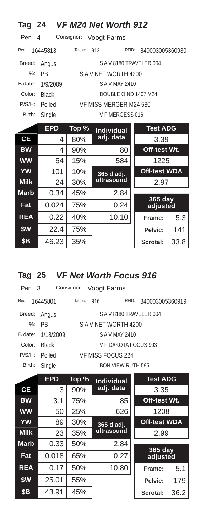| Tag 24        |              |            | VF M24 Net Worth 912   |                     |
|---------------|--------------|------------|------------------------|---------------------|
| Pen           | 4            | Consignor: | Voogt Farms            |                     |
| Reg:          | 16445813     | Tattoo:    | RFID:<br>912           | 840003005360930     |
| Breed:        | Angus        |            | SAV8180 TRAVELER 004   |                     |
| $\frac{9}{6}$ | PB           |            | SAV NET WORTH 4200     |                     |
| B date:       | 1/9/2009     |            | S A V MAY 2410         |                     |
| Color:        | <b>Black</b> |            | DOUBLE O ND 1407 M24   |                     |
| P/S/H:        | Polled       |            | VF MISS MERGER M24 580 |                     |
| Birth:        | Single       |            | VF MERGESS 016         |                     |
|               | <b>EPD</b>   | Top %      | <b>Individual</b>      | <b>Test ADG</b>     |
| <b>CE</b>     | 4            | 80%        | adj. data              | 3.39                |
| <b>BW</b>     | 4            | 90%        | 80                     | Off-test Wt.        |
| <b>WW</b>     | 54           | 15%        | 584                    | 1225                |
| <b>YW</b>     | 101          | 10%        | 365 d adj.             | <b>Off-test WDA</b> |
| <b>Milk</b>   | 24           | 30%        | ultrasound             | 2.97                |
| <b>Marb</b>   | 0.34         | 45%        | 2.84                   |                     |
| Fat           | 0.024        | 75%        | 0.24                   | 365 day<br>adjusted |
| <b>REA</b>    | 0.22         | 40%        | 10.10                  | 5.3<br>Frame:       |
| \$W           | 22.4         | 75%        |                        | 141<br>Pelvic:      |
| \$B           | 46.23        | 35%        |                        | Scrotal:<br>33.8    |

### **Tag 25** *VF Net Worth Focus 916*

| Pen 3   |              |                      | Consignor: Voogt Farms |                          |                 |  |
|---------|--------------|----------------------|------------------------|--------------------------|-----------------|--|
| Reg:    | 16445801     | Tattoo:              | 916                    | RFID:                    | 840003005360919 |  |
| Breed:  | Angus        | SAV8180 TRAVELER 004 |                        |                          |                 |  |
|         | $\%$ : PR    | SAV NFT WORTH 4200   |                        |                          |                 |  |
| B date: | 1/18/2009    | S A V MAY 2410       |                        |                          |                 |  |
| Color:  | <b>Black</b> | V F DAKOTA FOCUS 903 |                        |                          |                 |  |
| P/S/H:  | Polled       | VF MISS FOCUS 224    |                        |                          |                 |  |
| Birth:  | Single       |                      |                        | <b>BON VIEW RUTH 595</b> |                 |  |
|         |              |                      |                        |                          |                 |  |

|             | <b>EPD</b> | Top % | <b>Individual</b> | <b>Test ADG</b>     |      |
|-------------|------------|-------|-------------------|---------------------|------|
| <b>CE</b>   | 3          | 90%   | adj. data         | 3.35                |      |
| <b>BW</b>   | 3.1        | 75%   | 85                | Off-test Wt.        |      |
| <b>WW</b>   | 50         | 25%   | 626               | 1208                |      |
| <b>YW</b>   | 89         | 30%   | 365 d adj.        | <b>Off-test WDA</b> |      |
| <b>Milk</b> | 23         | 35%   | ultrasound        | 2.99                |      |
| <b>Marb</b> | 0.33       | 50%   | 2.84              |                     |      |
| Fat         | 0.018      | 65%   | 0.27              | 365 day<br>adjusted |      |
| <b>REA</b>  | 0.17       | 50%   | 10.80             | Frame:              | 5.1  |
| \$W\$       | 25.01      | 55%   |                   | Pelvic:             | 179  |
| <b>\$B</b>  | 43.91      | 45%   |                   | Scrotal:            | 36.2 |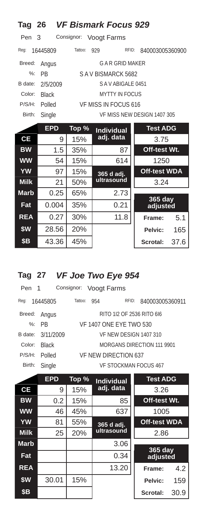| Tag 26      |              |            | <b>VF Bismark Focus 929</b> |                             |  |
|-------------|--------------|------------|-----------------------------|-----------------------------|--|
| Pen         | 3            | Consignor: | <b>Voogt Farms</b>          |                             |  |
| Reg:        | 16445809     | Tattoo:    | 929<br>RFID:                | 840003005360900             |  |
| Breed:      | Angus        |            | G A R GRID MAKER            |                             |  |
| $\%$ :      | <b>PR</b>    |            | SAV BISMARCK 5682           |                             |  |
| B date:     | 2/5/2009     |            | SAVABIGALE 0451             |                             |  |
| Color:      | <b>Black</b> |            | <b>MYTTY IN FOCUS</b>       |                             |  |
| P/S/H:      | Polled       |            | VF MISS IN FOCUS 616        |                             |  |
| Birth:      | Single       |            |                             | VF MISS NEW DESIGN 1407 305 |  |
|             | <b>EPD</b>   | Top %      | <b>Individual</b>           | <b>Test ADG</b>             |  |
| <b>CE</b>   | 9            | 15%        | adj. data                   | 3.75                        |  |
| <b>BW</b>   | 1.5          | 35%        | 87                          | Off-test Wt.                |  |
| <b>WW</b>   | 54           | 15%        | 614                         | 1250                        |  |
| YW          | 97           | 15%        | 365 d adj.                  | <b>Off-test WDA</b>         |  |
| <b>Milk</b> | 21           | 50%        | ultrasound                  | 3.24                        |  |
| <b>Marb</b> | 0.25         | 65%        | 2.73                        |                             |  |
| Fat         | 0.004        | 35%        | 0.21                        | <b>365 day</b><br>adjusted  |  |
| <b>REA</b>  | 0.27         | 30%        | 11.8                        | 5.1<br>Frame:               |  |
| \$W         | 28.56        | 20%        |                             | Pelvic:<br>165              |  |
| \$В         | 43.36        | 45%        |                             | 37.6<br><b>Scrotal:</b>     |  |

# **Tag 27** *VF Joe Two Eye 954*

| Pen 1   |              |                            |     | Consignor: Voogt Farms |       |                           |
|---------|--------------|----------------------------|-----|------------------------|-------|---------------------------|
| Reg:    | 16445805     | Tattoo:                    | 954 |                        | RFID: | 840003005360911           |
| Breed:  | Angus        |                            |     |                        |       | RITO 112 OF 2536 RITO 616 |
|         | %: PR        | VF 1407 ONE EYE TWO 530    |     |                        |       |                           |
| B date: | 3/11/2009    | VF NFW DESIGN 1407 310     |     |                        |       |                           |
| Color:  | <b>Black</b> | MORGANS DIRECTION 111 9901 |     |                        |       |                           |
| P/S/H:  | Polled       | VE NEW DIRECTION 637       |     |                        |       |                           |
| Birth:  | Single       |                            |     |                        |       | VF STOCKMAN FOCUS 467     |
|         |              |                            |     |                        |       |                           |

|             | <b>EPD</b> | Top % | <b>Individual</b> | <b>Test ADG</b>     |      |
|-------------|------------|-------|-------------------|---------------------|------|
| СE          | 9          | 15%   | adj. data         | 3.26                |      |
| <b>BW</b>   | 0.2        | 15%   | 85                | Off-test Wt.        |      |
| <b>WW</b>   | 46         | 45%   | 637               | 1005                |      |
| <b>YW</b>   | 81         | 55%   | 365 d adj.        | <b>Off-test WDA</b> |      |
| <b>Milk</b> | 25         | 20%   | ultrasound        | 2.86                |      |
| <b>Marb</b> |            |       | 3.06              |                     |      |
| Fat         |            |       | 0.34              | 365 day<br>adjusted |      |
| <b>REA</b>  |            |       | 13.20             | Frame:              | 4.2  |
| \$W         | 30.01      | 15%   |                   | Pelvic:             | 159  |
| <b>\$B</b>  |            |       |                   | Scrotal:            | 30.9 |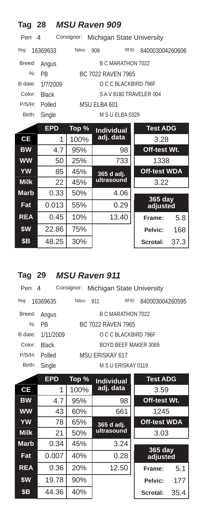| Tag 28        |              |            | <b>MSU Raven 909</b>      |                     |
|---------------|--------------|------------|---------------------------|---------------------|
| Pen           | 4            | Consignor: | Michigan State University |                     |
| Reg:          | 16369633     | Tattoo:    | RFID:<br>909              | 840003004260606     |
| Breed:        | Angus        |            | <b>B C MARATHON 7022</b>  |                     |
| $\frac{9}{6}$ | <b>PB</b>    |            | BC 7022 RAVEN 7965        |                     |
| B date:       | 1/7/2009     |            | O C C BLACKBIRD 796F      |                     |
| Color:        | <b>Black</b> |            | SAV8180 TRAVELER 004      |                     |
| P/S/H:        | Polled       |            | MSU ELBA 601              |                     |
| Birth:        | Single       |            | M S U ELBA 0329           |                     |
|               | <b>EPD</b>   | Top %      | <b>Individual</b>         | <b>Test ADG</b>     |
| <b>CE</b>     | 1            | 100%       | adj. data                 | 3.28                |
| <b>BW</b>     | 4.7          | 95%        | 98                        | Off-test Wt.        |
| <b>WW</b>     | 50           | 25%        | 733                       | 1338                |
| <b>YW</b>     | 85           | 45%        | 365 d adj.                | <b>Off-test WDA</b> |
| <b>Milk</b>   | 22           | 45%        | ultrasound                | 3.22                |
| <b>Marb</b>   | 0.33         | 50%        | 4.06                      |                     |
| Fat           | 0.013        | 55%        | 0.29                      | 365 day<br>adjusted |
| <b>REA</b>    | 0.45         | 10%        | 13.40                     | 5.8<br>Frame:       |
| \$W           | 22.86        | 75%        |                           | Pelvic:<br>168      |
| \$Β           | 48.25        | 30%        |                           | Scrotal:<br>37.3    |

# **Tag 29** *MSU Raven 911*

| Pen 4   |              |                      |       | Consignor: Michigan State University |  |                 |
|---------|--------------|----------------------|-------|--------------------------------------|--|-----------------|
| Reg:    | 16369635     | Tattoo:              | - 911 | RFID:                                |  | 840003004260595 |
| Breed:  | Angus        |                      |       | B C MARATHON 7022                    |  |                 |
|         | $%:$ PR      |                      |       | BC 7022 RAVEN 7965                   |  |                 |
| B date: | 1/11/2009    |                      |       | O C C BLACKBIRD 796F                 |  |                 |
| Color:  | <b>Black</b> | BOYD BEEF MAKER 3069 |       |                                      |  |                 |
| P/S/H:  | Polled       |                      |       | MSU FRISKAY 617                      |  |                 |
| Birth:  | Single       |                      |       | M S U ERISKAY 0119                   |  |                 |

|             | <b>EPD</b> | Top % | <b>Individual</b> | <b>Test ADG</b>       |      |
|-------------|------------|-------|-------------------|-----------------------|------|
| <b>CE</b>   | 1          | 100%  | adj. data         | 3.59                  |      |
| <b>BW</b>   | 4.7        | 95%   | 98                | Off-test Wt.          |      |
| <b>WW</b>   | 43         | 60%   | 661               | 1245                  |      |
| <b>YW</b>   | 78         | 65%   | 365 d adj.        | <b>Off-test WDA</b>   |      |
| <b>Milk</b> | 21         | 50%   | ultrasound        | 3.03                  |      |
| <b>Marb</b> | 0.34       | 45%   | 3.24              |                       |      |
| Fat         | 0.007      | 40%   | 0.28              | $365$ day<br>adjusted |      |
| <b>REA</b>  | 0.36       | 20%   | 12.50             | Frame:                | 5.1  |
| \$W         | 19.78      | 90%   |                   | Pelvic:               | 177  |
| \$B         | 44.36      | 40%   |                   | Scrotal:              | 35.4 |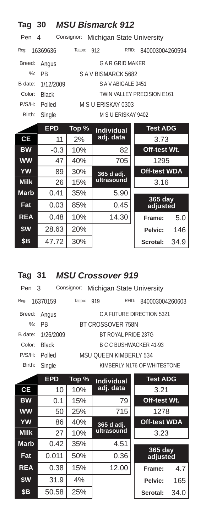| Tag 30          |              |            | <b>MSU Bismarck 912</b>   |                            |
|-----------------|--------------|------------|---------------------------|----------------------------|
| Pen             | 4            | Consignor: | Michigan State University |                            |
| Req:            | 16369636     | Tattoo:    | RFID:<br>912              | 840003004260594            |
| Breed:          | Angus        |            | <b>GAR GRID MAKER</b>     |                            |
| $\frac{9}{6}$ : | <b>PB</b>    |            | SAV BISMARCK 5682         |                            |
| B date:         | 1/12/2009    |            | SAVABIGALE 0451           |                            |
| Color:          | <b>Black</b> |            |                           | TWIN VALLEY PRECISION E161 |
| P/S/H:          | Polled       |            | M S U ERISKAY 0303        |                            |
| Birth:          | Single       |            | M S U ERISKAY 9402        |                            |
|                 | <b>EPD</b>   | Top %      | <b>Individual</b>         | <b>Test ADG</b>            |
| <b>CE</b>       | 11           | 2%         | adj. data                 | 3.73                       |
| <b>BW</b>       | $-0.3$       | 10%        | 82                        | Off-test Wt.               |
| <b>WW</b>       | 47           | 40%        | 705                       | 1295                       |
| <b>YW</b>       | 89           | 30%        | 365 d adj.                | <b>Off-test WDA</b>        |
| <b>Milk</b>     | 26           | 15%        | ultrasound                | 3.16                       |
| <b>Marb</b>     | 0.41         | 35%        | 5.90                      |                            |
| Fat             | 0.03         | 85%        | 0.45                      | 365 day<br>adjusted        |
| <b>REA</b>      | 0.48         | 10%        | 14.30                     | 5.0<br>Frame:              |
| \$W             | 28.63        | 20%        |                           | 146<br>Pelvic:             |
| \$В             | 47.72        | 30%        |                           | Scrotal:<br>34.9           |

### **Tag 31** *MSU Crossover 919*

| Pen 3   |              |                        |     | Consignor: Michigan State University |                             |  |
|---------|--------------|------------------------|-----|--------------------------------------|-----------------------------|--|
| Req:    | 16370159     | Tattoo:                | 919 | RFID:                                | 840003004260603             |  |
| Breed:  | Angus        |                        |     |                                      | C A FUTURE DIRECTION 5321   |  |
| $\%$ :  | <b>PR</b>    | BT CROSSOVER 758N      |     |                                      |                             |  |
| B date: | 1/26/2009    |                        |     | BT ROYAL PRIDE 237G                  |                             |  |
| Color:  | <b>Black</b> | B C C BUSHWACKER 41-93 |     |                                      |                             |  |
| P/S/H:  | Polled       |                        |     | MSU OUFFN KIMBERI Y 534              |                             |  |
| Birth:  | Single       |                        |     |                                      | KIMBERLY N176 OF WHITESTONE |  |

|             | <b>EPD</b> | Top % | <b>Individual</b> | <b>Test ADG</b>            |      |
|-------------|------------|-------|-------------------|----------------------------|------|
| <b>CE</b>   | 10         | 10%   | adj. data         | 3.21                       |      |
| <b>BW</b>   | 0.1        | 15%   | 79                | Off-test Wt.               |      |
| <b>WW</b>   | 50         | 25%   | 715               | 1278                       |      |
| YW          | 86         | 40%   | 365 d adj.        | <b>Off-test WDA</b>        |      |
| <b>Milk</b> | 27         | 10%   | ultrasound        | 3.23                       |      |
| <b>Marb</b> | 0.42       | 35%   | 4.51              |                            |      |
| Fat         | 0.011      | 50%   | 0.36              | <b>365 day</b><br>adjusted |      |
| <b>REA</b>  | 0.38       | 15%   | 12.00             | Frame:                     | 4.7  |
| \$W         | 31.9       | 4%    |                   | Pelvic:                    | 165  |
| <b>\$B</b>  | 50.58      | 25%   |                   | Scrotal:                   | 34.0 |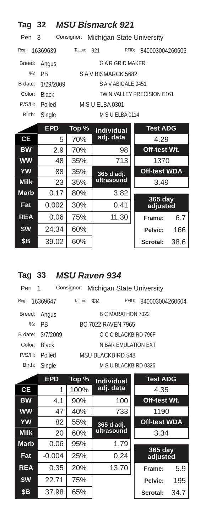| Tag 32      |              |            | <b>MSU Bismarck 921</b>   |                            |
|-------------|--------------|------------|---------------------------|----------------------------|
| Pen         | 3            | Consignor: | Michigan State University |                            |
| Reg:        | 16369639     | Tattoo:    | 921<br>RFID:              | 840003004260605            |
| Breed:      | Angus        |            | <b>GAR GRID MAKER</b>     |                            |
| $%$ :       | <b>PB</b>    |            | SAV BISMARCK 5682         |                            |
| B date:     | 1/29/2009    |            | SAVABIGALE 0451           |                            |
| Color:      | <b>Black</b> |            |                           | TWIN VALLEY PRECISION E161 |
| P/S/H:      | Polled       |            | <b>M S U ELBA 0301</b>    |                            |
| Birth:      | Single       |            | M S U ELBA 0114           |                            |
|             | <b>EPD</b>   | Top %      | <b>Individual</b>         | <b>Test ADG</b>            |
| <b>CE</b>   | 5            | 70%        | adj. data                 | 4.29                       |
| <b>BW</b>   | 2.9          | 70%        | 98                        | Off-test Wt.               |
| <b>WW</b>   | 48           | 35%        | 713                       | 1370                       |
| <b>YW</b>   | 88           | 35%        | 365 d adj.                | <b>Off-test WDA</b>        |
| <b>Milk</b> | 23           | 35%        | ultrasound                | 3.49                       |
| <b>Marb</b> | 0.17         | 80%        | 3.82                      |                            |
| Fat         | 0.002        | 30%        | 0.41                      | $365$ day<br>adjusted      |
| <b>REA</b>  | 0.06         | 75%        | 11.30                     | 6.7<br>Frame:              |
| \$W         | 24.34        | 60%        |                           | 166<br>Pelvic:             |
| \$В         | 39.02        | 60%        |                           | Scrotal:<br>38.6           |

# **Tag 33** *MSU Raven 934*

| Pen 1   |              | Consignor: Michigan State University |                      |                 |  |  |  |
|---------|--------------|--------------------------------------|----------------------|-----------------|--|--|--|
| Reg:    | 16369647     | Tattoo:<br>934                       | RFID:                | 840003004260604 |  |  |  |
| Breed:  | Angus        |                                      | B C MARATHON 7022    |                 |  |  |  |
|         | $\%$ : PR    |                                      | BC 7022 RAVEN 7965   |                 |  |  |  |
| B date: | 3/7/2009     |                                      | O C C BLACKBIRD 796F |                 |  |  |  |
| Color:  | <b>Black</b> |                                      | N BAR FMULATION FXT  |                 |  |  |  |
| P/S/H:  | Polled       |                                      | MSU BLACKBIRD 548    |                 |  |  |  |
| Birth:  | Single       |                                      | M S U BLACKBIRD 0326 |                 |  |  |  |

|             | <b>EPD</b> | Top % | <b>Individual</b> | <b>Test ADG</b>     |      |
|-------------|------------|-------|-------------------|---------------------|------|
| <b>CE</b>   | 1          | 100%  | adj. data         | 4.35                |      |
| <b>BW</b>   | 4.1        | 90%   | 100               | Off-test Wt.        |      |
| <b>WW</b>   | 47         | 40%   | 733               | 1190                |      |
| <b>YW</b>   | 82         | 55%   | 365 d adj.        | <b>Off-test WDA</b> |      |
| <b>Milk</b> | 20         | 60%   | ultrasound        | 3.34                |      |
| <b>Marb</b> | 0.06       | 95%   | 1.79              |                     |      |
| Fat         | $-0.004$   | 25%   | 0.24              | 365 day<br>adjusted |      |
| <b>REA</b>  | 0.35       | 20%   | 13.70             | Frame:              | 5.9  |
| \$W         | 22.71      | 75%   |                   | Pelvic:             | 195  |
| <b>\$B</b>  | 37.98      | 65%   |                   | Scrotal:            | 34.7 |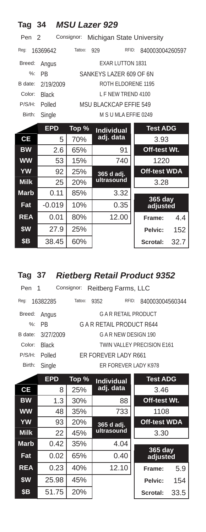| Tag 34           |              |            | <b>MSU Lazer 929</b>          |                     |
|------------------|--------------|------------|-------------------------------|---------------------|
| Pen <sub>2</sub> |              | Consignor: | Michigan State University     |                     |
| Req:             | 16369642     | Tattoo:    | 929<br>RFID:                  | 840003004260597     |
| Breed:           | Angus        |            | <b>EXAR LUTTON 1831</b>       |                     |
| $\%$ :           | <b>PB</b>    |            | SANKEYS LAZER 609 OF 6N       |                     |
| B date:          | 2/19/2009    |            | ROTH ELDORENE 1195            |                     |
| Color:           | <b>Black</b> |            | <b>I F NEW TREND 4100</b>     |                     |
| P/S/H:           | Polled       |            | <b>MSU BLACKCAP EFFIE 549</b> |                     |
| Birth:           | Single       |            | M S U MLA EFFIE 0249          |                     |
|                  | <b>EPD</b>   | Top %      | <b>Individual</b>             | <b>Test ADG</b>     |
| <b>CE</b>        | 5            | 70%        | adj. data                     | 3.93                |
| <b>BW</b>        | 2.6          | 65%        | 91                            | Off-test Wt.        |
| <b>WW</b>        | 53           | 15%        | 740                           | 1220                |
| <b>YW</b>        | 92           | 25%        | 365 d adj.                    | <b>Off-test WDA</b> |
| <b>Milk</b>      | 25           | 20%        | ultrasound                    | 3.28                |
| <b>Marb</b>      | 0.11         | 85%        | 3.32                          |                     |
| Fat              | $-0.019$     | 10%        | 0.35                          | 365 day<br>adjusted |
| <b>REA</b>       | 0.01         | 80%        | 12.00                         | 4.4<br>Frame:       |
| \$W              | 27.9         | 25%        |                               | 152<br>Pelvic:      |
| \$В              | 38.45        | 60%        |                               | 32.7<br>Scrotal:    |

# **Tag 37** *Rietberg Retail Product 9352*

| Pen 1   |              |                            | Consignor: Reitberg Farms, LLC |                           |                 |  |
|---------|--------------|----------------------------|--------------------------------|---------------------------|-----------------|--|
| Reg:    | 16382285     | Tattoo:                    | 9352                           | RFID:                     | 840003004560344 |  |
| Breed:  | Angus        |                            |                                | <b>GAR RETAIL PRODUCT</b> |                 |  |
|         | $%:$ PR      | G A R RETAIL PRODUCT R644  |                                |                           |                 |  |
| B date: | 3/27/2009    |                            |                                | G A R NEW DESIGN 190      |                 |  |
| Color:  | <b>Black</b> | TWIN VALLEY PRECISION E161 |                                |                           |                 |  |
| P/S/H:  | Polled       | ER FOREVER LADY R661       |                                |                           |                 |  |
| Birth:  | Single       |                            |                                | ER FOREVER LADY K978      |                 |  |
|         |              |                            |                                |                           |                 |  |

|             | <b>EPD</b> | Top % | <b>Individual</b> | <b>Test ADG</b>     |      |
|-------------|------------|-------|-------------------|---------------------|------|
| <b>CE</b>   | 8          | 25%   | adj. data         | 3.46                |      |
| <b>BW</b>   | 1.3        | 30%   | 88                | Off-test Wt.        |      |
| <b>WW</b>   | 48         | 35%   | 733               | 1108                |      |
| <b>YW</b>   | 93         | 20%   | 365 d adj.        | <b>Off-test WDA</b> |      |
| <b>Milk</b> | 22         | 45%   | ultrasound        | 3.30                |      |
| <b>Marb</b> | 0.42       | 35%   | 4.04              |                     |      |
| Fat         | 0.02       | 65%   | 0.40              | 365 day<br>adjusted |      |
| <b>REA</b>  | 0.23       | 40%   | 12.10             | Frame:              | 5.9  |
| \$W         | 25.98      | 45%   |                   | Pelvic:             | 154  |
| <b>\$B</b>  | 51.75      | 20%   |                   | Scrotal:            | 33.5 |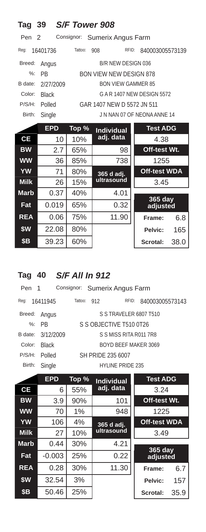| Tag 39           |              | S/F Tower 908 |                                |                             |
|------------------|--------------|---------------|--------------------------------|-----------------------------|
| Pen <sub>2</sub> |              | Consignor:    | Sumerix Angus Farm             |                             |
| Reg:             | 16401736     | Tattoo:       | 908<br>RFID:                   | 840003005573139             |
| Breed:           | Angus        |               | B/R NEW DESIGN 036             |                             |
| $\frac{9}{6}$ :  | <b>PB</b>    |               | <b>BON VIEW NEW DESIGN 878</b> |                             |
| B date:          | 2/27/2009    |               | <b>BON VIEW GAMMER 85</b>      |                             |
| Color:           | <b>Black</b> |               |                                | G A R 1407 NEW DESIGN 5572  |
| P/S/H:           | Polled       |               | GAR 1407 NFW D 5572 JN 511     |                             |
| Birth:           | Single       |               |                                | J N NAN 07 OF NEONA ANNE 14 |
|                  | <b>EPD</b>   | Top %         | <b>Individual</b>              | <b>Test ADG</b>             |
| <b>CE</b>        | 10           | 10%           | adj. data                      | 4.38                        |
| <b>BW</b>        | 2.7          | 65%           | 98                             | Off-test Wt.                |
| <b>WW</b>        | 36           | 85%           | 738                            | 1255                        |
| <b>YW</b>        | 71           | 80%           | 365 d adj.                     | <b>Off-test WDA</b>         |
| <b>Milk</b>      | 26           | 15%           | ultrasound                     | 3.45                        |
| <b>Marb</b>      | 0.37         | 40%           | 4.01                           |                             |
| Fat              | 0.019        | 65%           | 0.32                           | $365$ day<br>adjusted       |
| <b>REA</b>       | 0.06         | 75%           | 11.90                          | 6.8<br>Frame:               |
| \$W              | 22.08        | 80%           |                                | Pelvic:<br>165              |
| <b>\$B</b>       | 39.23        | 60%           |                                | 38.0<br>Scrotal:            |

# **Tag 40** *S/F All In 912*

| Pen 1  |                   |         |     | Consignor: Sumerix Angus Farm |       |                        |
|--------|-------------------|---------|-----|-------------------------------|-------|------------------------|
| Req:   | 16411945          | Tattoo: | 912 |                               | RFID: | 840003005573143        |
| Breed: | Angus             |         |     |                               |       | S S TRAVELER 6807 T510 |
|        | $%:$ PR           |         |     | S S OBJECTIVE T510 0T26       |       |                        |
|        | B date: 3/12/2009 |         |     | S S MISS RITA R011 7R8        |       |                        |
| Color: | <b>Black</b>      |         |     |                               |       | BOYD BEEF MAKER 3069   |
| P/S/H: | Polled            |         |     | SH PRIDE 235 6007             |       |                        |
| Birth: | Single            |         |     | <b>HYLINE PRIDE 235</b>       |       |                        |
|        |                   |         |     |                               |       |                        |

|             | <b>EPD</b> | Top % | <b>Individual</b> | <b>Test ADG</b>     |      |
|-------------|------------|-------|-------------------|---------------------|------|
| <b>CE</b>   | 6          | 55%   | adj. data         | 3.24                |      |
| <b>BW</b>   | 3.9        | 90%   | 101               | Off-test Wt.        |      |
| <b>WW</b>   | 70         | 1%    | 948               | 1225                |      |
| <b>YW</b>   | 106        | 4%    | 365 d adj.        | <b>Off-test WDA</b> |      |
| <b>Milk</b> | 27         | 10%   | ultrasound        | 3.49                |      |
| <b>Marb</b> | 0.44       | 30%   | 4.21              |                     |      |
| Fat         | $-0.003$   | 25%   | 0.22              | 365 day<br>adjusted |      |
| <b>REA</b>  | 0.28       | 30%   | 11.30             | Frame:              | 6.7  |
| \$W         | 32.54      | 3%    |                   | Pelvic:             | 157  |
| \$B         | 50.46      | 25%   |                   | Scrotal:            | 35.9 |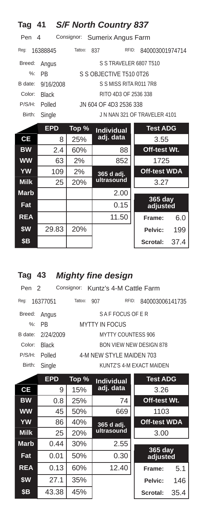| Tag 41  |              |                | <b>S/F North Country 837</b>  |       |                              |
|---------|--------------|----------------|-------------------------------|-------|------------------------------|
| Pen 4   |              |                | Consignor: Sumerix Angus Farm |       |                              |
| Req:    | 16388845     | Tattoo:<br>837 |                               | RFID: | 840003001974714              |
| Breed:  | Angus        |                | S S TRAVELER 6807 T510        |       |                              |
| %:      | <b>PR</b>    |                | S S OBJECTIVE T510 0T26       |       |                              |
| B date: | 9/16/2008    |                | S S MISS RITA R011 7R8        |       |                              |
| Color:  | <b>Black</b> |                | RITO 4D3 OF 2536 338          |       |                              |
| P/S/H:  | Polled       |                | JN 604 OF 4D3 2536 338        |       |                              |
| Birth:  | Single       |                |                               |       | J N NAN 321 OF TRAVELER 4101 |
|         |              |                |                               |       |                              |

|             | <b>EPD</b> | Top % | <b>Individual</b> | <b>Test ADG</b>     |      |
|-------------|------------|-------|-------------------|---------------------|------|
| <b>CE</b>   | 8          | 25%   | adj. data         | 3.55                |      |
| <b>BW</b>   | 2.4        | 60%   | 88                | Off-test Wt.        |      |
| <b>WW</b>   | 63         | 2%    | 852               | 1725                |      |
| <b>YW</b>   | 109        | 2%    | 365 d adj.        | <b>Off-test WDA</b> |      |
| <b>Milk</b> | 25         | 20%   | ultrasound        | 3.27                |      |
| <b>Marb</b> |            |       | 2.00              |                     |      |
| Fat         |            |       | 0.15              | 365 day<br>adjusted |      |
| <b>REA</b>  |            |       | 11.50             | Frame:              | 6.0  |
| \$W         | 29.83      | 20%   |                   | Pelvic:             | 199  |
| \$Β         |            |       |                   | Scrotal:            | 37.4 |

# **Tag 43 Mighty fine design**

| Pen <sub>2</sub> |                   |         |                          |                |       | Consignor: Kuntz's 4-M Cattle Farm |
|------------------|-------------------|---------|--------------------------|----------------|-------|------------------------------------|
| Req:             | 16377051          | Tattoo: | 907                      |                | RFID: | 840003006141735                    |
| Breed:           | Angus             |         |                          | SAFFOCUS OF ER |       |                                    |
|                  | %: PR             |         | <b>MYTTY IN FOCUS</b>    |                |       |                                    |
|                  | B date: 2/24/2009 |         |                          |                |       | MYTTY COUNTESS 906                 |
| Color:           | <b>Black</b>      |         |                          |                |       | BON VIEW NEW DESIGN 878            |
| P/S/H:           | Polled            |         | 4-M NEW STYLE MAIDEN 703 |                |       |                                    |
| Birth:           | Single            |         |                          |                |       | KUNTZ'S 4-M EXACT MAIDEN           |
|                  |                   |         |                          |                |       |                                    |

|             | <b>EPD</b> | Top % | <b>Individual</b> | <b>Test ADG</b>            |      |
|-------------|------------|-------|-------------------|----------------------------|------|
| <b>CE</b>   | 9          | 15%   | adj. data         | 3.26                       |      |
| <b>BW</b>   | 0.8        | 25%   | 74                | Off-test Wt.               |      |
| <b>WW</b>   | 45         | 50%   | 669               | 1103                       |      |
| <b>YW</b>   | 86         | 40%   | 365 d adj.        | <b>Off-test WDA</b>        |      |
| <b>Milk</b> | 25         | 20%   | ultrasound        | 3.00                       |      |
| <b>Marb</b> | 0.44       | 30%   | 2.55              |                            |      |
| Fat         | 0.01       | 50%   | 0.30              | <b>365 day</b><br>adjusted |      |
| <b>REA</b>  | 0.13       | 60%   | 12.40             | Frame:                     | 5.1  |
| \$W         | 27.1       | 35%   |                   | Pelvic:                    | 146  |
| <b>\$B</b>  | 43.38      | 45%   |                   | Scrotal:                   | 35.4 |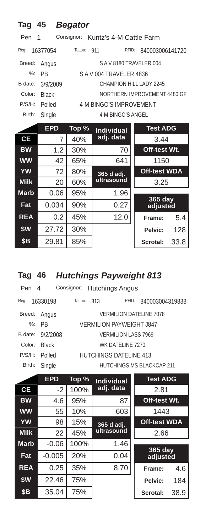| Tag         | 45           | <b>Begator</b> |                                    |                              |      |
|-------------|--------------|----------------|------------------------------------|------------------------------|------|
| Pen         | 1            |                | Consignor: Kuntz's 4-M Cattle Farm |                              |      |
| Reg:        | 16377054     | Tattoo:        | RFID:<br>911                       | 840003006141720              |      |
| Breed:      | Angus        |                | SAV8180 TRAVELER 004               |                              |      |
| $\%$ :      | <b>PR</b>    |                | SAV004 TRAVELER 4836               |                              |      |
| B date:     | 3/9/2009     |                | CHAMPION HILL LADY 2245            |                              |      |
| Color:      | <b>Black</b> |                |                                    | NORTHERN IMPROVEMENT 4480 GF |      |
| P/S/H:      | Polled       |                | <b>4-M BINGO'S IMPROVEMENT</b>     |                              |      |
| Birth:      | Single       |                | 4-M BINGO'S ANGEL                  |                              |      |
|             | <b>EPD</b>   | Top %          | <b>Individual</b>                  | <b>Test ADG</b>              |      |
| СE          | 7            | 40%            | adj. data                          | 3.44                         |      |
| <b>BW</b>   | 1.2          | 30%            | 70                                 | Off-test Wt.                 |      |
| <b>WW</b>   | 42           | 65%            | 641                                | 1150                         |      |
| <b>YW</b>   | 72           | 80%            | 365 d adj.                         | <b>Off-test WDA</b>          |      |
| <b>Milk</b> | 20           | 60%            | ultrasound                         | 3.25                         |      |
| Marb        | 0.06         | 95%            | 1.96                               |                              |      |
| Fat         | 0.034        | 90%            | 0.27                               | 365 day<br>adjusted          |      |
| <b>REA</b>  | 0.2          | 45%            | 12.0                               | Frame:                       | 5.4  |
| \$W         | 27.72        | 30%            |                                    | Pelvic:                      | 128  |
| \$Β         | 29.81        | 85%            |                                    | Scrotal:                     | 33.8 |

# **Tag 46** *Hutchings Payweight 813*

| Pen 4   |              |         | Consignor: Hutchings Angus    |                            |                           |
|---------|--------------|---------|-------------------------------|----------------------------|---------------------------|
| Reg:    | 16330198     | Tattoo: | 813                           | RFID:                      | 840003004319838           |
| Breed:  | Angus        |         |                               |                            | VERMILION DATELINE 7078   |
|         | $\%$ : PR    |         | VERMILION PAYWEIGHT 1847      |                            |                           |
| B date: | 9/2/2008     |         |                               | <b>VERMILION LASS 7969</b> |                           |
| Color:  | <b>Black</b> |         |                               | WK DATELINE 7270           |                           |
| P/S/H:  | Polled       |         | <b>HUTCHINGS DATELINE 413</b> |                            |                           |
| Birth:  | Single       |         |                               |                            | HUTCHINGS MS BLACKCAP 211 |

|             | <b>EPD</b> | Top % | <b>Individual</b> | <b>Test ADG</b>     |      |
|-------------|------------|-------|-------------------|---------------------|------|
| <b>CE</b>   | $-2$       | 100%  | adj. data         | 2.81                |      |
| <b>BW</b>   | 4.6        | 95%   | 87                | Off-test Wt.        |      |
| <b>WW</b>   | 55         | 10%   | 603               | 1443                |      |
| <b>YW</b>   | 98         | 15%   | 365 d adj.        | <b>Off-test WDA</b> |      |
| <b>Milk</b> | 22         | 45%   | ultrasound        | 2.66                |      |
| <b>Marb</b> | $-0.06$    | 100%  | 1.46              |                     |      |
| Fat         | $-0.005$   | 20%   | 0.04              | 365 day<br>adjusted |      |
| <b>REA</b>  | 0.25       | 35%   | 8.70              | Frame:              | 4.6  |
| \$W         | 22.46      | 75%   |                   | Pelvic:             | 184  |
| <b>\$B</b>  | 35.04      | 75%   |                   | Scrotal:            | 38.9 |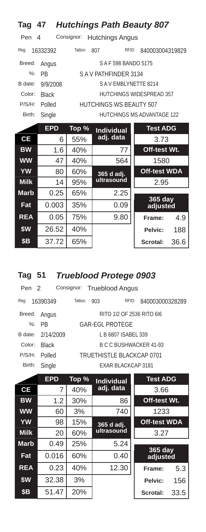| <b>Hutchings Path Beauty 807</b><br>Tag<br>47 |              |            |                         |                            |  |  |  |
|-----------------------------------------------|--------------|------------|-------------------------|----------------------------|--|--|--|
| Pen                                           | 4            | Consignor: | <b>Hutchings Angus</b>  |                            |  |  |  |
| Reg:                                          | 16332392     | Tattoo:    | 807<br>RFID:            | 840003004319829            |  |  |  |
| Breed:                                        | Angus        |            | S A F 598 BANDO 5175    |                            |  |  |  |
| $\%$ :                                        | <b>PR</b>    |            | SAV PATHFINDER 3134     |                            |  |  |  |
| B date:                                       | 9/9/2008     |            | SAVEMBLYNETTE 8214      |                            |  |  |  |
| Color:                                        | <b>Black</b> |            |                         | HUTCHINGS WIDESPREAD 357   |  |  |  |
| P/S/H:                                        | Polled       |            | HUTCHINGS WS BEAUTY 507 |                            |  |  |  |
| Birth:                                        | Single       |            |                         | HUTCHINGS MS ADVANTAGE 122 |  |  |  |
|                                               | <b>EPD</b>   | Top %      | <b>Individual</b>       | <b>Test ADG</b>            |  |  |  |
| <b>CE</b>                                     | 6            | 55%        | adj. data               | 3.73                       |  |  |  |
| <b>BW</b>                                     | 1.6          | 40%        | 77                      | Off-test Wt.               |  |  |  |
| <b>WW</b>                                     | 47           | 40%        | 564                     | 1580                       |  |  |  |
| <b>YW</b>                                     | 80           | 60%        | 365 d adj.              | <b>Off-test WDA</b>        |  |  |  |
| <b>Milk</b>                                   | 14           | 95%        | ultrasound              | 2.95                       |  |  |  |
| <b>Marb</b>                                   | 0.25         | 65%        | 2.25                    |                            |  |  |  |
| Fat                                           | 0.003        | 35%        | 0.09                    | 365 day<br>adjusted        |  |  |  |
| <b>REA</b>                                    | 0.05         | 75%        | 9.80                    | 4.9<br>Frame:              |  |  |  |
| \$W                                           | 26.52        | 40%        |                         | 188<br>Pelvic:             |  |  |  |

# **Tag 51** *Trueblood Protege 0903*

| Pen <sub>2</sub> |                   |         |     | Consignor: Trueblood Angus |                 |
|------------------|-------------------|---------|-----|----------------------------|-----------------|
| Reg:             | 16390349          | Tattoo: | 903 | RFID:                      | 840003000328289 |
| Breed:           | Angus             |         |     | RITO 112 OF 2536 RITO 616  |                 |
|                  | $%:$ PR           |         |     | <b>GAR-EGL PROTEGE</b>     |                 |
|                  | B date: 2/14/2009 |         |     | L B 6807 ISABEL 339        |                 |
| Color:           | <b>Black</b>      |         |     | B C C BUSHWACKER 41-93     |                 |
| P/S/H:           | Polled            |         |     | TRUFTHISTLE BLACKCAP 0701  |                 |
| Birth:           | Single            |         |     | <b>EXAR BLACKCAP 3181</b>  |                 |
|                  |                   |         |     |                            |                 |

**\$B** 37.72 65% **Scrotal:** 36.6

|             | <b>EPD</b> | Top % | <b>Individual</b> | <b>Test ADG</b>     |      |
|-------------|------------|-------|-------------------|---------------------|------|
| <b>CE</b>   | 7          | 40%   | adj. data         | 3.66                |      |
| <b>BW</b>   | 1.2        | 30%   | 86                | Off-test Wt.        |      |
| <b>WW</b>   | 60         | 3%    | 740               | 1233                |      |
| <b>YW</b>   | 98         | 15%   | 365 d adj.        | <b>Off-test WDA</b> |      |
| <b>Milk</b> | 20         | 60%   | ultrasound        | 3.27                |      |
| <b>Marb</b> | 0.49       | 25%   | 5.24              |                     |      |
| Fat         | 0.016      | 60%   | 0.40              | 365 day<br>adjusted |      |
| <b>REA</b>  | 0.23       | 40%   | 12.30             | Frame:              | 5.3  |
| \$W         | 32.38      | 3%    |                   | Pelvic:             | 156  |
| <b>\$B</b>  | 51.47      | 20%   |                   | Scrotal:            | 33.5 |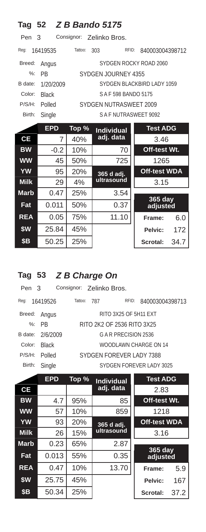| Tag                               |              |         | 52 <b>Z B Bando 5175</b> |                            |  |  |  |  |
|-----------------------------------|--------------|---------|--------------------------|----------------------------|--|--|--|--|
| Consignor: Zelinko Bros.<br>Pen 3 |              |         |                          |                            |  |  |  |  |
| Req:                              | 16419535     | Tattoo: | RFID:<br>303             | 840003004398712            |  |  |  |  |
| Breed:                            | Angus        |         |                          | SYDGEN ROCKY ROAD 2060     |  |  |  |  |
| $\frac{9}{6}$                     | <b>PB</b>    |         | SYDGEN JOURNEY 4355      |                            |  |  |  |  |
| B date:                           | 1/20/2009    |         |                          | SYDGEN BLACKBIRD LADY 1059 |  |  |  |  |
| Color:                            | <b>Black</b> |         | SAF 598 BANDO 5175       |                            |  |  |  |  |
| P/S/H:                            | Polled       |         | SYDGEN NUTRASWEET 2009   |                            |  |  |  |  |
| Birth:                            | Single       |         | SAF NUTRASWEET 9092      |                            |  |  |  |  |
|                                   | <b>EPD</b>   | Top %   | <b>Individual</b>        | <b>Test ADG</b>            |  |  |  |  |
| СE                                | 7            | 40%     | adj. data                | 3.46                       |  |  |  |  |
| <b>BW</b>                         | $-0.2$       | 10%     | 70                       | Off-test Wt.               |  |  |  |  |
| <b>WW</b>                         | 45           | 50%     | 725                      | 1265                       |  |  |  |  |
| <b>YW</b>                         | 95           | 20%     | 365 d adj.               | <b>Off-test WDA</b>        |  |  |  |  |
| <b>Milk</b>                       | 29           | 4%      | ultrasound               | 3.15                       |  |  |  |  |
| <b>Marb</b>                       | 0.47         | 25%     | 3.54                     |                            |  |  |  |  |
| Fat                               | 0.011        | 50%     | 0.37                     | $365$ day<br>adjusted      |  |  |  |  |
| <b>REA</b>                        | 0.05         | 75%     | 11.10                    | 6.0<br>Frame:              |  |  |  |  |
| \$W                               | 25.84        | 45%     |                          | 172<br>Pelvic:             |  |  |  |  |
| <b>\$B</b>                        | 50.25        | 25%     |                          | Scrotal:<br>34.7           |  |  |  |  |

#### **Tag 53** *Z B Charge On*

| Pen 3  |                  |             | Consignor: Zelinko Bros. |                            |                          |
|--------|------------------|-------------|--------------------------|----------------------------|--------------------------|
| Reg:   | 16419526         | Tattoo: 787 |                          | RFID:                      | 840003004398713          |
| Breed: | Angus            |             |                          | RITO 3X25 OF 5H11 EXT      |                          |
|        | %: PR            |             |                          | RITO 2K2 OF 2536 RITO 3X25 |                          |
|        | B date: 2/6/2009 |             |                          | G A R PRECISION 2536       |                          |
| Color: | <b>Black</b>     |             |                          |                            | WOODLAWN CHARGE ON 14    |
| P/S/H: | Polled           |             |                          | SYDGEN FOREVER LADY 7388   |                          |
| Birth: | Single           |             |                          |                            | SYDGEN FOREVER LADY 3025 |
|        |                  |             |                          |                            |                          |

|             | <b>EPD</b> | Top % | <b>Individual</b> | <b>Test ADG</b>     |      |
|-------------|------------|-------|-------------------|---------------------|------|
| СE          |            |       | adj. data         | 2.83                |      |
| <b>BW</b>   | 4.7        | 95%   | 85                | Off-test Wt.        |      |
| <b>WW</b>   | 57         | 10%   | 859               | 1218                |      |
| <b>YW</b>   | 93         | 20%   | 365 d adj.        | <b>Off-test WDA</b> |      |
| <b>Milk</b> | 26         | 15%   | ultrasound        | 3.16                |      |
| <b>Marb</b> | 0.23       | 65%   | 2.87              |                     |      |
| Fat         | 0.013      | 55%   | 0.35              | 365 day<br>adjusted |      |
| <b>REA</b>  | 0.47       | 10%   | 13.70             | Frame:              | 5.9  |
| \$W         | 25.75      | 45%   |                   | Pelvic:             | 167  |
| <b>\$B</b>  | 50.34      | 25%   |                   | Scrotal:            | 37.2 |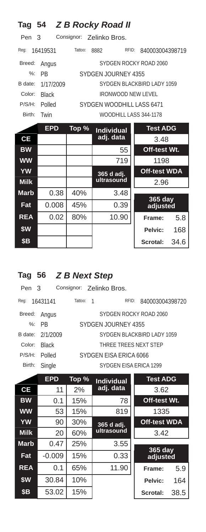| Tag           |              |         | 54 Z B Rocky Road II      |                            |      |
|---------------|--------------|---------|---------------------------|----------------------------|------|
| Pen           | 3            |         | Consignor: Zelinko Bros.  |                            |      |
| Req:          | 16419531     | Tattoo: | RFID:<br>8882             | 840003004398719            |      |
| Breed:        | Angus        |         |                           | SYDGEN ROCKY ROAD 2060     |      |
| $\frac{9}{6}$ | <b>PB</b>    |         | SYDGEN JOURNEY 4355       |                            |      |
| B date:       | 1/17/2009    |         |                           | SYDGEN BLACKBIRD LADY 1059 |      |
| Color:        | <b>Black</b> |         | <b>IRONWOOD NEW LEVEL</b> |                            |      |
| P/S/H:        | Polled       |         | SYDGEN WOODHILL LASS 6471 |                            |      |
| Birth:        | Twin         |         | WOODHILL LASS 344-1178    |                            |      |
|               | <b>EPD</b>   | Top %   | <b>Individual</b>         | <b>Test ADG</b>            |      |
| <b>CE</b>     |              |         | adj. data                 | 3.48                       |      |
| <b>BW</b>     |              |         | 55                        | Off-test Wt.               |      |
| <b>WW</b>     |              |         | 719                       | 1198                       |      |
| <b>YW</b>     |              |         | 365 d adj.                | <b>Off-test WDA</b>        |      |
| <b>Milk</b>   |              |         | ultrasound                | 2.96                       |      |
| <b>Marb</b>   | 0.38         | 40%     | 3.48                      |                            |      |
| Fat           | 0.008        | 45%     | 0.39                      | 365 day<br>adjusted        |      |
| <b>REA</b>    | 0.02         | 80%     | 10.90                     | Frame:                     | 5.8  |
| \$W           |              |         |                           | Pelvic:                    | 168  |
| \$Β           |              |         |                           | Scrotal:                   | 34.6 |

# **Tag 56** *Z B Next Step*

Pen 3 Consignor: Zelinko Bros. Reg: 16431141 Tattoo: 1 RFID: 840003004398720 Breed: Angus SYDGEN ROCKY ROAD 2060 %: PB SYDGEN JOURNEY 4355 B date: 2/1/2009 SYDGEN BLACKBIRD LADY 1059 Color: Black THREE TREES NEXT STEP P/S/H: Polled SYDGEN EISA ERICA 6066 Birth: Single SYDGEN EISA ERICA 1299

|             | <b>EPD</b> | Top % | <b>Individual</b> | <b>Test ADG</b>     |      |
|-------------|------------|-------|-------------------|---------------------|------|
| CE          | 11         | 2%    | adj. data         | 3.62                |      |
| <b>BW</b>   | 0.1        | 15%   | 78                | Off-test Wt.        |      |
| <b>WW</b>   | 53         | 15%   | 819               | 1335                |      |
| <b>YW</b>   | 90         | 30%   | 365 d adj.        | <b>Off-test WDA</b> |      |
| <b>Milk</b> | 20         | 60%   | ultrasound        | 3.42                |      |
| <b>Marb</b> | 0.47       | 25%   | 3.55              |                     |      |
| Fat         | $-0.009$   | 15%   | 0.33              | 365 day<br>adjusted |      |
| <b>REA</b>  | 0.1        | 65%   | 11.90             | Frame:              | 5.9  |
| \$W         | 30.84      | 10%   |                   | Pelvic:             | 164  |
| <b>\$B</b>  | 53.02      | 15%   |                   | Scrotal:            | 38.5 |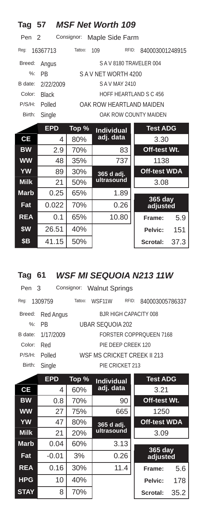| Tag 57                                            |              |         | <b>MSF Net Worth 109</b>  |                       |  |  |  |  |
|---------------------------------------------------|--------------|---------|---------------------------|-----------------------|--|--|--|--|
| Consignor:<br>Pen <sub>2</sub><br>Maple Side Farm |              |         |                           |                       |  |  |  |  |
| Reg:                                              | 16367713     | Tattoo: | RFID:<br>109              | 840003001248915       |  |  |  |  |
| Breed:                                            | Angus        |         | SAV8180 TRAVELER 004      |                       |  |  |  |  |
| $\frac{9}{6}$ :                                   | <b>PB</b>    |         | SAV NET WORTH 4200        |                       |  |  |  |  |
| B date:                                           | 2/22/2009    |         | S A V MAY 2410            |                       |  |  |  |  |
| Color:                                            | <b>Black</b> |         | HOFF HEARTLAND S C 456    |                       |  |  |  |  |
| P/S/H:                                            | Polled       |         | OAK ROW HEARTI AND MAIDEN |                       |  |  |  |  |
| Birth:                                            | Single       |         |                           | OAK ROW COUNTY MAIDEN |  |  |  |  |
|                                                   | <b>EPD</b>   | Top %   | <b>Individual</b>         | <b>Test ADG</b>       |  |  |  |  |
| <b>CE</b>                                         | 4            | 80%     | adj. data                 | 3.30                  |  |  |  |  |
| <b>BW</b>                                         | 2.9          | 70%     | 83                        | Off-test Wt.          |  |  |  |  |
| <b>WW</b>                                         | 48           | 35%     | 737                       | 1138                  |  |  |  |  |
| YW                                                | 89           | 30%     | 365 d adj.                | <b>Off-test WDA</b>   |  |  |  |  |
| <b>Milk</b>                                       | 21           | 50%     | ultrasound                | 3.08                  |  |  |  |  |
| <b>Marb</b>                                       | 0.25         | 65%     | 1.89                      |                       |  |  |  |  |
| Fat                                               | 0.022        | 70%     | 0.26                      | $365$ day<br>adjusted |  |  |  |  |
| <b>REA</b>                                        | 0.1          | 65%     | 10.80                     | 5.9<br>Frame:         |  |  |  |  |
| \$W                                               | 26.51        | 40%     |                           | 151<br>Pelvic:        |  |  |  |  |
| <b>\$B</b>                                        | 41.15        | 50%     |                           | 37.3<br>Scrotal:      |  |  |  |  |

### **Tag 61** *WSF MI SEQUOIA N213 11W*

| Pen 3  |                   |                  | Consignor: Walnut Springs   |                        |                                |  |  |  |
|--------|-------------------|------------------|-----------------------------|------------------------|--------------------------------|--|--|--|
| Reg:   | 1309759           | Tattoo:          | WSF11W                      | RFID:                  | 840003005786337                |  |  |  |
| Breed: | Red Angus         |                  |                             | B.JR HIGH CAPACITY 008 |                                |  |  |  |
|        | $%:$ PR           | UBAR SEOUOIA 202 |                             |                        |                                |  |  |  |
|        | B date: 1/17/2009 |                  |                             |                        | <b>FORSTER COPPROUEEN 7168</b> |  |  |  |
| Color: | Red               |                  |                             | PIF DEEP CREEK 120     |                                |  |  |  |
| P/S/H: | Polled            |                  | WSF MS CRICKET CREEK II 213 |                        |                                |  |  |  |
| Birth: | Single            |                  |                             | PIE CRICKET 213        |                                |  |  |  |
|        |                   |                  |                             |                        |                                |  |  |  |

|             | <b>EPD</b> | Top % | <b>Individual</b> | <b>Test ADG</b>     |      |
|-------------|------------|-------|-------------------|---------------------|------|
| <b>CE</b>   | 4          | 60%   | adj. data         | 3.21                |      |
| <b>BW</b>   | 0.8        | 70%   | 90                | Off-test Wt.        |      |
| <b>WW</b>   | 27         | 75%   | 665               | 1250                |      |
| <b>YW</b>   | 47         | 80%   | 365 d adj.        | <b>Off-test WDA</b> |      |
| <b>Milk</b> | 21         | 20%   | ultrasound        | 3.09                |      |
| <b>Marb</b> | 0.04       | 60%   | 3.13              |                     |      |
| Fat         | $-0.01$    | 3%    | 0.26              | 365 day<br>adjusted |      |
| <b>REA</b>  | 0.16       | 30%   | 11.4              | Frame:              | 5.6  |
| <b>HPG</b>  | 10         | 40%   |                   | Pelvic:             | 178  |
| <b>STAY</b> | 8          | 70%   |                   | Scrotal:            | 35.2 |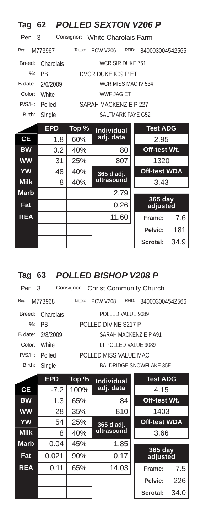| Tag                                            | 62         |         | <b>POLLED SEXTON V206 P</b> |       |                     |      |  |
|------------------------------------------------|------------|---------|-----------------------------|-------|---------------------|------|--|
| Consignor:<br>Pen<br>3<br>White Charolais Farm |            |         |                             |       |                     |      |  |
| Reg:                                           | M773967    | Tattoo: | <b>PCW V206</b>             | RFID: | 840003004542565     |      |  |
| Breed:                                         | Charolais  |         | WCR SIR DUKE 761            |       |                     |      |  |
| $\%$ :                                         | <b>PB</b>  |         | DVCR DUKE K09 P ET          |       |                     |      |  |
| B date:                                        | 2/6/2009   |         | WCR MISS MAC IV 534         |       |                     |      |  |
| Color:                                         | White      |         | <b>WWF JAG ET</b>           |       |                     |      |  |
| P/S/H:                                         | Polled     |         | SARAH MACKENZIE P 227       |       |                     |      |  |
| Birth:                                         | Single     |         | SALTMARK FAYE G52           |       |                     |      |  |
|                                                | <b>EPD</b> | Top %   | <b>Individual</b>           |       | <b>Test ADG</b>     |      |  |
| <b>CE</b>                                      | 1.8        | 60%     | adj. data                   |       | 2.95                |      |  |
| <b>BW</b>                                      | 0.2        | 40%     |                             | 80    | Off-test Wt.        |      |  |
| <b>WW</b>                                      | 31         | 25%     |                             | 807   | 1320                |      |  |
| <b>YW</b>                                      | 48         | 40%     | 365 d adj.                  |       | <b>Off-test WDA</b> |      |  |
| <b>Milk</b>                                    | 8          | 40%     | ultrasound                  |       | 3.43                |      |  |
| <b>Marb</b>                                    |            |         |                             | 2.79  |                     |      |  |
| Fat                                            |            |         |                             | 0.26  | 365 day<br>adjusted |      |  |
| <b>REA</b>                                     |            |         | 11.60                       |       | Frame:              | 7.6  |  |
|                                                |            |         |                             |       | Pelvic:             | 181  |  |
|                                                |            |         |                             |       | Scrotal:            | 34.9 |  |

# **Tag 63** *POLLED BISHOP V208 P*

| Pen 3   |                                       |                       | Consignor: Christ Community Church |       |                                |  |  |
|---------|---------------------------------------|-----------------------|------------------------------------|-------|--------------------------------|--|--|
| Reg:    | M773968                               | Tattoo:               | <b>PCW V208</b>                    | RFID: | 840003004542566                |  |  |
|         | POLLED VALUE 9089<br>Breed: Charolais |                       |                                    |       |                                |  |  |
|         | $\%$ : PR                             |                       | POLLED DIVINE S217 P               |       |                                |  |  |
| B date: | 2/8/2009                              |                       |                                    |       | SARAH MACKENZIE P A91          |  |  |
| Color:  | <b>White</b>                          |                       | IT POLLED VALUE 9089               |       |                                |  |  |
| P/S/H:  | Polled                                | POLLED MISS VALUE MAC |                                    |       |                                |  |  |
| Birth:  | Single                                |                       |                                    |       | <b>BALDRIDGE SNOWFLAKE 35E</b> |  |  |
|         |                                       |                       |                                    |       |                                |  |  |

|             | <b>EPD</b> | Top % | <b>Individual</b> | <b>Test ADG</b>     |      |
|-------------|------------|-------|-------------------|---------------------|------|
| <b>CE</b>   | $-7.2$     | 100%  | adj. data         | 4.15                |      |
| <b>BW</b>   | 1.3        | 65%   | 84                | Off-test Wt.        |      |
| <b>WW</b>   | 28         | 35%   | 810               | 1403                |      |
| <b>YW</b>   | 54         | 25%   | 365 d adj.        | <b>Off-test WDA</b> |      |
| <b>Milk</b> | 8          | 40%   | ultrasound        | 3.66                |      |
| <b>Marb</b> | 0.04       | 45%   | 1.85              |                     |      |
| Fat         | 0.021      | 90%   | 0.17              | 365 day<br>adjusted |      |
| <b>REA</b>  | 0.11       | 65%   | 14.03             | Frame:              | 7.5  |
|             |            |       |                   | Pelvic:             | 226  |
|             |            |       |                   | Scrotal:            | 34.0 |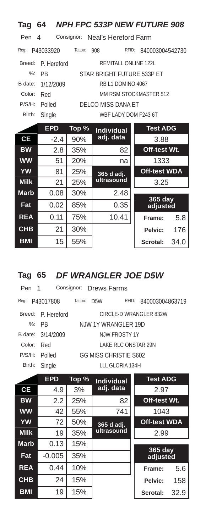| Tag             | 64                                  |         |                                 |                   | <b>NPH FPC 533P NEW FUTURE 908</b> |      |
|-----------------|-------------------------------------|---------|---------------------------------|-------------------|------------------------------------|------|
| Pen             | 4                                   |         | Consignor: Neal's Hereford Farm |                   |                                    |      |
| Req:            | P43033920                           | Tattoo: | 908                             | RFID:             | 840003004542730                    |      |
| Breed:          | P. Hereford<br>REMITALL ONLINE 122L |         |                                 |                   |                                    |      |
| $\frac{9}{6}$ : | <b>PB</b>                           |         |                                 |                   | STAR BRIGHT FUTURE 533P ET         |      |
| B date:         | 1/12/2009                           |         |                                 | RB L1 DOMINO 4067 |                                    |      |
| Color:          | Red                                 |         |                                 |                   | MM RSM STOCKMASTER 512             |      |
| P/S/H:          | Polled                              |         | DELCO MISS DANA ET              |                   |                                    |      |
| Birth:          | Single                              |         |                                 |                   | WBF LADY DOM F243 6T               |      |
|                 | <b>EPD</b>                          | Top %   | <b>Individual</b>               |                   | <b>Test ADG</b>                    |      |
| <b>CE</b>       | $-2.4$                              | 90%     | adj. data                       |                   | 3.88                               |      |
| <b>BW</b>       | 2.8                                 | 35%     |                                 | 82                | Off-test Wt.                       |      |
| <b>WW</b>       | 51                                  | 20%     |                                 | na                | 1333                               |      |
| <b>YW</b>       | 81                                  | 25%     | 365 d adj.                      |                   | <b>Off-test WDA</b>                |      |
| <b>Milk</b>     | 21                                  | 25%     | ultrasound                      |                   | 3.25                               |      |
| <b>Marb</b>     | 0.08                                | 30%     |                                 | 2.48              |                                    |      |
| Fat             | 0.02                                | 85%     |                                 | 0.35              | $365$ day<br>adjusted              |      |
| <b>REA</b>      | 0.11                                | 75%     |                                 | 10.41             | Frame:                             | 5.8  |
| <b>CHB</b>      | 21                                  | 30%     |                                 |                   | Pelvic:                            | 176  |
| <b>BMI</b>      | 15                                  | 55%     |                                 |                   | Scrotal:                           | 34.0 |

#### **Tag 65** *DF WRANGLER JOE D5W*

| Pen 1   |                    | Consignor: Drews Farms      |                     |                        |
|---------|--------------------|-----------------------------|---------------------|------------------------|
| Reg:    | P43017808          | Tattoo:<br>D <sub>5</sub> W | RFID:               | 840003004863719        |
|         | Breed: P. Hereford |                             |                     | CIRCLE-D WRANGLER 832W |
| $\%$ :  | - PR               | NJW 1Y WRANGI FR 19D        |                     |                        |
| B date: | 3/14/2009          |                             | NJW FROSTY 1Y       |                        |
| Color:  | Red                |                             | LAKE RLC ONSTAR 29N |                        |
| P/S/H:  | Polled             | GG MISS CHRISTIF S602       |                     |                        |
| Birth:  | Single             |                             | TIT GLORIA 134H     |                        |
|         |                    |                             |                     |                        |

|             | <b>EPD</b> | Top % | <b>Individual</b> | <b>Test ADG</b>     |      |
|-------------|------------|-------|-------------------|---------------------|------|
| <b>CE</b>   | 4.9        | 3%    | adj. data         | 2.97                |      |
| <b>BW</b>   | 2.2        | 25%   | 82                | Off-test Wt.        |      |
| <b>WW</b>   | 42         | 55%   | 741               | 1043                |      |
| <b>YW</b>   | 72         | 50%   | 365 d adj.        | <b>Off-test WDA</b> |      |
| <b>Milk</b> | 19         | 35%   | ultrasound        | 2.99                |      |
| <b>Marb</b> | 0.13       | 15%   |                   |                     |      |
| Fat         | $-0.005$   | 35%   |                   | 365 day<br>adjusted |      |
| <b>REA</b>  | 0.44       | 10%   |                   | Frame:              | 5.6  |
| <b>CHB</b>  | 24         | 15%   |                   | Pelvic:             | 158  |
| <b>BMI</b>  | 19         | 15%   |                   | Scrotal:            | 32.9 |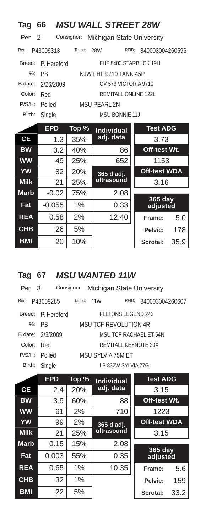| Tag                                                         | 66          |         | <b>MSU WALL STREET 28W</b> |                     |      |  |  |  |
|-------------------------------------------------------------|-------------|---------|----------------------------|---------------------|------|--|--|--|
| Consignor:<br>Pen <sub>2</sub><br>Michigan State University |             |         |                            |                     |      |  |  |  |
| Reg:                                                        | P43009313   | Tattoo: | RFID:<br>28W               | 840003004260596     |      |  |  |  |
| Breed:                                                      | P. Hereford |         | FHF 8403 STARBUCK 19H      |                     |      |  |  |  |
| $\frac{9}{6}$                                               | <b>PB</b>   |         | NJW FHF 9710 TANK 45P      |                     |      |  |  |  |
| B date:                                                     | 2/26/2009   |         | GV 579 VICTORIA 9710       |                     |      |  |  |  |
| Color:                                                      | Red         |         | REMITALL ONLINE 122L       |                     |      |  |  |  |
| P/S/H:                                                      | Polled      |         | MSU PEARL 2N               |                     |      |  |  |  |
| Birth:                                                      | Single      |         | <b>MSU BONNIE 11J</b>      |                     |      |  |  |  |
|                                                             | <b>EPD</b>  | Top %   | <b>Individual</b>          | <b>Test ADG</b>     |      |  |  |  |
| <b>CE</b>                                                   | 1.3         | 35%     | adj. data                  | 3.73                |      |  |  |  |
| <b>BW</b>                                                   | 3.2         | 40%     | 86                         | Off-test Wt.        |      |  |  |  |
| <b>WW</b>                                                   | 49          | 25%     | 652                        | 1153                |      |  |  |  |
| <b>YW</b>                                                   | 82          | 20%     | 365 d adj.                 | <b>Off-test WDA</b> |      |  |  |  |
| <b>Milk</b>                                                 | 21          | 25%     | ultrasound                 | 3.16                |      |  |  |  |
| <b>Marb</b>                                                 | $-0.02$     | 75%     | 2.08                       |                     |      |  |  |  |
| Fat                                                         | $-0.055$    | 1%      | 0.33                       | 365 day<br>adjusted |      |  |  |  |
| <b>REA</b>                                                  | 0.58        | 2%      | 12.40                      | Frame:              | 5.0  |  |  |  |
| <b>CHB</b>                                                  | 26          | 5%      |                            | Pelvic:             | 178  |  |  |  |
| <b>BMI</b>                                                  | 20          | 10%     |                            | Scrotal:            | 35.9 |  |  |  |

### **Tag 67** *MSU WANTED 11W*

| Pen 3   |                    |         |      | Consignor: Michigan State University |                 |
|---------|--------------------|---------|------|--------------------------------------|-----------------|
| Req:    | P43009285          | Tattoo: | 11 W | RFID:                                | 840003004260607 |
|         | Breed: P. Hereford |         |      | FFITONS LEGEND 242                   |                 |
|         | $\%$ : PR          |         |      | MSU TCF REVOLUTION 4R                |                 |
| B date: | 2/3/2009           |         |      | MSU TCF RACHAFI FT 54N               |                 |
| Color:  | Red                |         |      | REMITALL KEYNOTE 20X                 |                 |
| P/S/H:  | Polled             |         |      | MSU SYLVIA 75M FT                    |                 |
| Birth:  | Single             |         |      | LB 832W SYLVIA 77G                   |                 |

|             | <b>EPD</b> | Top % | <b>Individual</b> | <b>Test ADG</b>     |      |
|-------------|------------|-------|-------------------|---------------------|------|
| <b>CE</b>   | 2.4        | 20%   | adj. data         | 3.15                |      |
| <b>BW</b>   | 3.9        | 60%   | 88                | Off-test Wt.        |      |
| <b>WW</b>   | 61         | 2%    | 710               | 1223                |      |
| <b>YW</b>   | 99         | 2%    | 365 d adj.        | <b>Off-test WDA</b> |      |
| <b>Milk</b> | 21         | 25%   | ultrasound        | 3.15                |      |
| <b>Marb</b> | 0.15       | 15%   | 2.08              |                     |      |
| Fat         | 0.003      | 55%   | 0.35              | 365 day<br>adjusted |      |
| <b>REA</b>  | 0.65       | 1%    | 10.35             | Frame:              | 5.6  |
| <b>CHB</b>  | 32         | 1%    |                   | Pelvic:             | 159  |
| <b>BMI</b>  | 22         | 5%    |                   | Scrotal:            | 33.2 |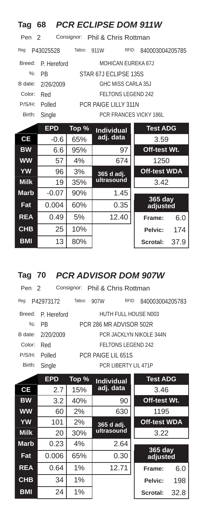| Tag                                         | 68          |         | <b>PCR ECLIPSE DOM 911W</b> |                        |  |  |  |  |
|---------------------------------------------|-------------|---------|-----------------------------|------------------------|--|--|--|--|
| Consignor: Phil & Chris Rottman<br>Pen<br>2 |             |         |                             |                        |  |  |  |  |
| Req:                                        | P43025528   | Tattoo: | RFID:<br>911W               | 840003004205785        |  |  |  |  |
| Breed:                                      | P. Hereford |         | <b>MOHICAN EUREKA 67J</b>   |                        |  |  |  |  |
| $\frac{9}{6}$ :                             | <b>PB</b>   |         | STAR 67J ECLIPSE 135S       |                        |  |  |  |  |
| B date:                                     | 2/26/2009   |         | GHC MISS CARLA 35.J         |                        |  |  |  |  |
| Color:                                      | Red         |         | <b>FELTONS LEGEND 242</b>   |                        |  |  |  |  |
| P/S/H:                                      | Polled      |         | <b>PCR PAIGE LILLY 311N</b> |                        |  |  |  |  |
| Birth:                                      | Single      |         |                             | PCR FRANCES VICKY 186L |  |  |  |  |
|                                             | <b>EPD</b>  | Top %   | <b>Individual</b>           | <b>Test ADG</b>        |  |  |  |  |
| <b>CE</b>                                   | $-0.6$      | 65%     | adj. data                   | 3.59                   |  |  |  |  |
| <b>BW</b>                                   | 6.6         | 95%     | 97                          | Off-test Wt.           |  |  |  |  |
| <b>WW</b>                                   | 57          | 4%      | 674                         | 1250                   |  |  |  |  |
| <b>YW</b>                                   | 96          | 3%      | 365 d adj.                  | <b>Off-test WDA</b>    |  |  |  |  |
| <b>Milk</b>                                 | 19          | 35%     | ultrasound                  | 3.42                   |  |  |  |  |
| <b>Marb</b>                                 | $-0.07$     | 90%     | 1.45                        |                        |  |  |  |  |
| Fat                                         | 0.004       | 60%     | 0.35                        | 365 day<br>adjusted    |  |  |  |  |
| <b>REA</b>                                  | 0.49        | 5%      | 12.40                       | 6.0<br>Frame:          |  |  |  |  |
| <b>CHB</b>                                  | 25          | 10%     |                             | 174<br>Pelvic:         |  |  |  |  |
| <b>BMI</b>                                  | 13          | 80%     |                             | Scrotal:<br>37.9       |  |  |  |  |

#### **Tag 70** *PCR ADVISOR DOM 907W*

|        | Pen 2 Consignor: Phil & Chris Rottman |         |      |                         |                         |
|--------|---------------------------------------|---------|------|-------------------------|-------------------------|
| Reg:   | P42973172                             | Tattoo: | 907W | RFID:                   | 840003004205783         |
|        | Breed: P. Hereford                    |         |      | HUTH FULL HOUSE N003    |                         |
|        | $\%$ : PR                             |         |      | PCR 286 MR ADVISOR 502R |                         |
|        | B date: 2/20/2009                     |         |      |                         | PCR JACKLYN NIKOLE 344N |
| Color: | Red                                   |         |      | FELTONS LEGEND 242      |                         |
| P/S/H: | Polled                                |         |      | PCR PAIGE LIL 651S      |                         |
| Birth: | Single                                |         |      | PCR LIBERTY LIL 471P    |                         |

|             | <b>EPD</b> | Top % | <b>Individual</b> | <b>Test ADG</b>     |      |
|-------------|------------|-------|-------------------|---------------------|------|
| <b>CE</b>   | 2.7        | 15%   | adj. data         | 3.46                |      |
| <b>BW</b>   | 3.2        | 40%   | 90                | Off-test Wt.        |      |
| <b>WW</b>   | 60         | 2%    | 630               | 1195                |      |
| <b>YW</b>   | 101        | 2%    | 365 d adj.        | <b>Off-test WDA</b> |      |
| <b>Milk</b> | 20         | 30%   | ultrasound        | 3.22                |      |
| <b>Marb</b> | 0.23       | 4%    | 2.64              |                     |      |
| Fat         | 0.006      | 65%   | 0.30              | 365 day<br>adjusted |      |
| <b>REA</b>  | 0.64       | 1%    | 12.71             | Frame:              | 6.0  |
| <b>CHB</b>  | 34         | 1%    |                   | Pelvic:             | 198  |
| <b>BMI</b>  | 24         | 1%    |                   | Scrotal:            | 32.8 |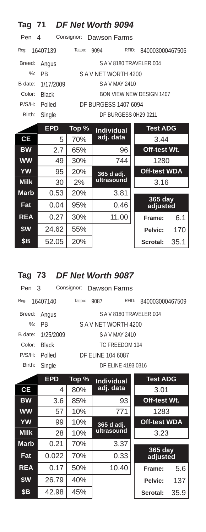| <b>Tag 71</b>                          |              |         | DF Net Worth 9094           |       |                                 |      |  |  |
|----------------------------------------|--------------|---------|-----------------------------|-------|---------------------------------|------|--|--|
| Consignor:<br>Pen<br>Dawson Farms<br>4 |              |         |                             |       |                                 |      |  |  |
| Reg:                                   | 16407139     | Tattoo: | 9094                        | RFID: | 840003000467506                 |      |  |  |
| Breed:                                 | Angus        |         | SAV8180 TRAVELER 004        |       |                                 |      |  |  |
| $\%$ :                                 | <b>PB</b>    |         | SAV NET WORTH 4200          |       |                                 |      |  |  |
| B date:                                | 1/17/2009    |         | S A V MAY 2410              |       |                                 |      |  |  |
| Color:                                 | <b>Black</b> |         |                             |       | <b>BON VIEW NEW DESIGN 1407</b> |      |  |  |
| P/S/H:                                 | Polled       |         | <b>DF BURGESS 1407 6094</b> |       |                                 |      |  |  |
| Birth:                                 | Single       |         | DF BURGESS 0H29 0211        |       |                                 |      |  |  |
|                                        | <b>EPD</b>   | Top %   | <b>Individual</b>           |       | <b>Test ADG</b>                 |      |  |  |
| <b>CE</b>                              | 5            | 70%     | <u>adj.</u> data            |       | 3.44                            |      |  |  |
| <b>BW</b>                              | 2.7          | 65%     | 96                          |       | Off-test Wt.                    |      |  |  |
| <b>WW</b>                              | 49           | 30%     | 744                         |       | 1280                            |      |  |  |
| <b>YW</b>                              | 95           | 20%     | 365 d adj.                  |       | <b>Off-test WDA</b>             |      |  |  |
| <b>Milk</b>                            | 30           | 2%      | ultrasound                  |       | 3.16                            |      |  |  |
| <b>Marb</b>                            | 0.53         | 20%     | 3.81                        |       |                                 |      |  |  |
| Fat                                    | 0.04         | 95%     | 0.46                        |       | 365 day<br>adjusted             |      |  |  |
| <b>REA</b>                             | 0.27         | 30%     | 11.00                       |       | Frame:                          | 6.1  |  |  |
| \$W                                    | 24.62        | 55%     |                             |       | Pelvic:                         | 170  |  |  |
| \$Β                                    | 52.05        | 20%     |                             |       | Scrotal:                        | 35.1 |  |  |

# **Tag 73** *DF Net Worth 9087*

| Pen 3   |              |         |                   | Consignor: Dawson Farms |                 |
|---------|--------------|---------|-------------------|-------------------------|-----------------|
| Reg:    | 16407140     | Tattoo: | 9087              | RFID:                   | 840003000467509 |
| Breed:  | Angus        |         |                   | SAV8180 TRAVELER 004    |                 |
|         | %: PR        |         |                   | SAV NFT WORTH 4200      |                 |
| B date: | 1/25/2009    |         |                   | S A V MAY 2410          |                 |
| Color:  | <b>Black</b> |         |                   | TC FREEDOM 104          |                 |
| P/S/H:  | Polled       |         | DF ELINE 104 6087 |                         |                 |
| Birth:  | Single       |         |                   | DF ELINE 4193 0316      |                 |
|         |              |         |                   |                         |                 |

|             | <b>EPD</b> | Top % | <b>Individual</b> | <b>Test ADG</b>     |      |
|-------------|------------|-------|-------------------|---------------------|------|
| <b>CE</b>   | 4          | 80%   | adj. data         | 3.01                |      |
| <b>BW</b>   | 3.6        | 85%   | 93                | Off-test Wt.        |      |
| <b>WW</b>   | 57         | 10%   | 771               | 1283                |      |
| <b>YW</b>   | 99         | 10%   | 365 d adj.        | <b>Off-test WDA</b> |      |
| <b>Milk</b> | 28         | 10%   | ultrasound        | 3.23                |      |
| <b>Marb</b> | 0.21       | 70%   | 3.37              |                     |      |
| Fat         | 0.022      | 70%   | 0.33              | 365 day<br>adjusted |      |
| <b>REA</b>  | 0.17       | 50%   | 10.40             | Frame:              | 5.6  |
| \$W         | 26.79      | 40%   |                   | Pelvic:             | 137  |
| <b>\$B</b>  | 42.98      | 45%   |                   | Scrotal:            | 35.9 |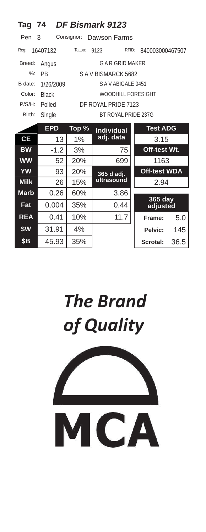| Tag                                    | 74           |         | DF Bismark 9123           |          |                            |  |  |  |
|----------------------------------------|--------------|---------|---------------------------|----------|----------------------------|--|--|--|
| Consignor:<br>Pen<br>3<br>Dawson Farms |              |         |                           |          |                            |  |  |  |
| Reg:                                   | 16407132     | Tattoo: | 9123                      | RFID:    | 840003000467507            |  |  |  |
| Breed:                                 | Angus        |         | <b>GAR GRID MAKER</b>     |          |                            |  |  |  |
| $\%$ :                                 | <b>PR</b>    |         | SAV BISMARCK 5682         |          |                            |  |  |  |
| B date:                                | 1/26/2009    |         | SAVABIGALE 0451           |          |                            |  |  |  |
| Color:                                 | <b>Black</b> |         | <b>WOODHILL FORESIGHT</b> |          |                            |  |  |  |
| P/S/H:                                 | Polled       |         | DF ROYAL PRIDE 7123       |          |                            |  |  |  |
| Birth:                                 | Single       |         | BT ROYAL PRIDE 237G       |          |                            |  |  |  |
|                                        | <b>EPD</b>   | Top %   | <b>Individual</b>         |          | <b>Test ADG</b>            |  |  |  |
| CE                                     | 13           | 1%      | adj. data                 |          | 3.15                       |  |  |  |
| <b>BW</b>                              | $-1.2$       | 3%      | 75                        |          | Off-test Wt.               |  |  |  |
| <b>WW</b>                              | 52           | 20%     | 699                       |          | 1163                       |  |  |  |
| <b>YW</b>                              | 93           | 20%     | 365 d adj.                |          | <b>Off-test WDA</b>        |  |  |  |
| <b>Milk</b>                            | 26           | 15%     | ultrasound                |          | 2.94                       |  |  |  |
| <b>Marb</b>                            | 0.26         | 60%     | 3.86                      |          |                            |  |  |  |
| Fat                                    | 0.004        | 35%     | 0.44                      |          | <b>365 day</b><br>adjusted |  |  |  |
| <b>REA</b>                             | 0.41         | 10%     | 11.7                      | Frame:   | 5.0                        |  |  |  |
| \$W                                    | 31.91        | 4%      |                           | Pelvic:  | 145                        |  |  |  |
| \$Β                                    | 45.93        | 35%     |                           | Scrotal: | 36.5                       |  |  |  |

# **The Brand** of Quality

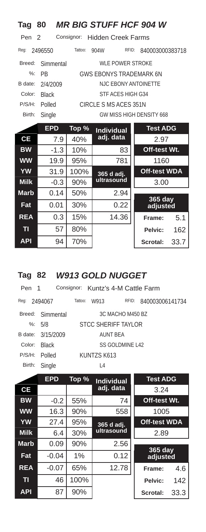| Tag                   | 80           |            | <b>MR BIG STUFF HCF 904 W</b>  |       |                     |      |
|-----------------------|--------------|------------|--------------------------------|-------|---------------------|------|
| Pen<br>$\overline{2}$ |              | Consignor: | <b>Hidden Creek Farms</b>      |       |                     |      |
| Reg:                  | 2496550      | Tattoo:    | 904W                           | RFID: | 840003000383718     |      |
| Breed:                | Simmental    |            | <b>WLE POWER STROKE</b>        |       |                     |      |
| $\frac{9}{6}$ :       | <b>PR</b>    |            | <b>GWS EBONYS TRADEMARK 6N</b> |       |                     |      |
| B date:               | 2/4/2009     |            | <b>NJC EBONY ANTOINETTE</b>    |       |                     |      |
| Color:                | <b>Black</b> |            | STF ACES HIGH G34              |       |                     |      |
| P/S/H:                | Polled       |            | CIRCLE S MS ACES 351N          |       |                     |      |
| Birth:                | Single       |            | GW MISS HIGH DENSITY 668       |       |                     |      |
|                       | <b>EPD</b>   | Top %      | <b>Individual</b>              |       | <b>Test ADG</b>     |      |
| СE                    | 7.9          | 40%        | adj. data                      |       | 2.97                |      |
| <b>BW</b>             | $-1.3$       | 10%        | 83                             |       | Off-test Wt.        |      |
| <b>WW</b>             | 19.9         | 95%        | 781                            |       | 1160                |      |
| <b>YW</b>             | 31.9         | 100%       | 365 d adj.                     |       | <b>Off-test WDA</b> |      |
| <b>Milk</b>           | $-0.3$       | 90%        | ultrasound                     |       | 3.00                |      |
| <b>Marb</b>           | 0.14         | 50%        | 2.94                           |       |                     |      |
| Fat                   | 0.01         | 30%        | 0.22                           |       | 365 day<br>adjusted |      |
| <b>REA</b>            | 0.3          | 15%        | 14.36                          |       | Frame:              | 5.1  |
| TI                    | 57           | 80%        |                                |       | Pelvic:             | 162  |
| <b>API</b>            | 94           | 70%        |                                |       | Scrotal:            | 33.7 |

### **Tag 82** *W913 GOLD NUGGET*

| Pen 1  | Consignor: Kuntz's 4-M Cattle Farm |         |                 |                      |                 |
|--------|------------------------------------|---------|-----------------|----------------------|-----------------|
| Reg:   | 2494067                            | Tattoo: | W913            | RFID:                | 840003006141734 |
|        | Breed: Simmental                   |         |                 | 3C MACHO M450 BZ     |                 |
|        | %: $5/8$                           |         |                 | STCC SHERIFF TAYI OR |                 |
|        | B date: 3/15/2009                  |         | <b>AUNT BEA</b> |                      |                 |
| Color: | <b>Black</b>                       |         |                 | SS GOLDMINE L42      |                 |
| P/S/H: | Polled                             |         | KUNTZS K613     |                      |                 |
| Birth: | Single                             |         | L <sub>4</sub>  |                      |                 |
|        |                                    |         |                 |                      |                 |

|                | <b>EPD</b> | Top % | <b>Individual</b> | <b>Test ADG</b>     |      |
|----------------|------------|-------|-------------------|---------------------|------|
| <b>CE</b>      |            |       | adj. data         | 3.24                |      |
| <b>BW</b>      | $-0.2$     | 55%   | 74                | Off-test Wt.        |      |
| <b>WW</b>      | 16.3       | 90%   | 558               | 1005                |      |
| <b>YW</b>      | 27.4       | 95%   | 365 d adj.        | <b>Off-test WDA</b> |      |
| <b>Milk</b>    | 6.4        | 30%   | ultrasound        | 2.89                |      |
| <b>Marb</b>    | 0.09       | 90%   | 2.56              |                     |      |
| Fat            | $-0.04$    | 1%    | 0.12              | 365 day<br>adjusted |      |
| <b>REA</b>     | $-0.07$    | 65%   | 12.78             | Frame:              | 4.6  |
| T <sub>l</sub> | 46         | 100%  |                   | Pelvic:             | 142  |
| <b>API</b>     | 87         | 90%   |                   | Scrotal:            | 33.3 |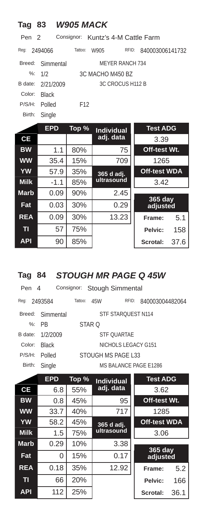| <b>Tag</b>      | 83            | <b>W905 MACK</b> |                         |                     |      |
|-----------------|---------------|------------------|-------------------------|---------------------|------|
| Pen             | $\mathcal{P}$ | Consignor:       | Kuntz's 4-M Cattle Farm |                     |      |
| Req:            | 2494066       | Tattoo:          | RFID:<br>W905           | 840003006141732     |      |
| Breed:          | Simmental     |                  | <b>MEYER RANCH 734</b>  |                     |      |
| $\frac{9}{6}$ : | 1/2           |                  | 3C MACHO M450 BZ        |                     |      |
| B date:         | 2/21/2009     |                  | 3C CROCUS H112 B        |                     |      |
| Color:          | <b>Black</b>  |                  |                         |                     |      |
| P/S/H:          | Polled        | F <sub>12</sub>  |                         |                     |      |
| Birth:          | Single        |                  |                         |                     |      |
|                 | <b>EPD</b>    | Top %            | <b>Individual</b>       | <b>Test ADG</b>     |      |
| <b>CE</b>       |               |                  | adj. data               | 3.39                |      |
| <b>BW</b>       | 1.1           | 80%              | 75                      | Off-test Wt.        |      |
| <b>WW</b>       | 35.4          | 15%              | 709                     | 1265                |      |
| <b>YW</b>       | 57.9          | 35%              | 365 d adj.              | <b>Off-test WDA</b> |      |
| <b>Milk</b>     | $-1.1$        | 85%              | ultrasound              | 3.42                |      |
| <b>Marb</b>     | 0.09          | 90%              | 2.45                    |                     |      |
| Fat             | 0.03          | 30%              | 0.29                    | 365 day<br>adjusted |      |
| <b>REA</b>      | 0.09          | 30%              | 13.23                   | Frame:              | 5.1  |
| TI              | 57            | 75%              |                         | Pelvic:             | 158  |
| <b>API</b>      | 90            | 85%              |                         | Scrotal:            | 37.6 |

# **Tag 84** *STOUGH MR PAGE Q 45W*

| Pen 4   |                  | Consignor: Stough Simmental |                       |                 |
|---------|------------------|-----------------------------|-----------------------|-----------------|
| Reg:    | 2493584          | Tattoo:<br>45W              | RFID:                 | 840003004482064 |
|         | Breed: Simmental |                             | STF STAROUEST N114    |                 |
|         | $%:$ PR          | STAR O                      |                       |                 |
| B date: | 1/2/2009         |                             | <b>STE OUARTAF</b>    |                 |
| Color:  | <b>Black</b>     |                             | NICHOLS LEGACY G151   |                 |
| P/S/H:  | Polled           |                             | STOUGH MS PAGE L33    |                 |
| Birth:  | Single           |                             | MS BALANCE PAGE E1286 |                 |
|         |                  |                             |                       |                 |

|             | <b>EPD</b> | Top % | <b>Individual</b> | <b>Test ADG</b>            |      |
|-------------|------------|-------|-------------------|----------------------------|------|
| <b>CE</b>   | 6.8        | 55%   | adj. data         | 3.62                       |      |
| <b>BW</b>   | 0.8        | 45%   | 95                | Off-test Wt.               |      |
| <b>WW</b>   | 33.7       | 40%   | 717               | 1285                       |      |
| <b>YW</b>   | 58.2       | 45%   | 365 d adj.        | <b>Off-test WDA</b>        |      |
| <b>Milk</b> | 1.5        | 75%   | ultrasound        | 3.06                       |      |
| <b>Marb</b> | 0.29       | 10%   | 3.38              |                            |      |
| Fat         | 0          | 15%   | 0.17              | <b>365 day</b><br>adjusted |      |
| <b>REA</b>  | 0.18       | 35%   | 12.92             | Frame:                     | 5.2  |
| T           | 66         | 20%   |                   | Pelvic:                    | 166  |
| <b>API</b>  | 112        | 25%   |                   | Scrotal:                   | 36.1 |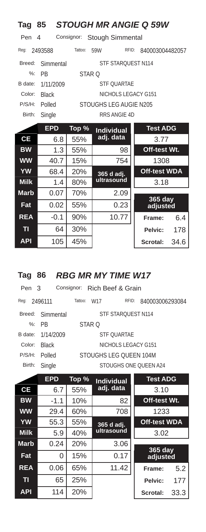| <b>Tag</b>  | 85           |                   |                           | <b>STOUGH MR ANGIE Q 59W</b> |
|-------------|--------------|-------------------|---------------------------|------------------------------|
| Pen         | 4            | Consignor:        | <b>Stough Simmental</b>   |                              |
| Reg:        | 2493588      | Tattoo:           | 59W                       | RFID:<br>840003004482057     |
| Breed:      | Simmental    |                   | <b>STF STAROUEST N114</b> |                              |
| $\%$ :      | <b>PB</b>    | STAR <sub>O</sub> |                           |                              |
| B date:     | 1/11/2009    |                   | <b>STF OUARTAE</b>        |                              |
| Color:      | <b>Black</b> |                   | NICHOLS LEGACY G151       |                              |
| P/S/H:      | Polled       |                   | STOUGHS LEG AUGIE N205    |                              |
| Birth:      | Single       |                   | RRS ANGIE 4D              |                              |
|             | <b>EPD</b>   | Top %             | <b>Individual</b>         | <b>Test ADG</b>              |
| <b>CE</b>   | 6.8          | 55%               | adj. data                 | 3.77                         |
| <b>BW</b>   | 1.3          | 55%               | 98                        | Off-test Wt.                 |
| <b>WW</b>   | 40.7         | 15%               | 754                       | 1308                         |
| <b>YW</b>   | 68.4         | 20%               | 365 d adj.                | <b>Off-test WDA</b>          |
| <b>Milk</b> | 1.4          | 80%               | ultrasound                | 3.18                         |
| <b>Marb</b> | 0.07         | 70%               | 2.09                      |                              |
| Fat         | 0.02         | 55%               | 0.23                      | 365 day<br>adjusted          |
| <b>REA</b>  | $-0.1$       | 90%               | 10.77                     | Frame:<br>6.4                |
| TI          | 64           | 30%               |                           | Pelvic:<br>178               |
| <b>API</b>  | 105          | 45%               |                           | Scrotal:<br>34.6             |

#### **Tag 86** *RBG MR MY TIME W17*

| Pen 3  |                   | Consignor: Rich Beef & Grain |                       |                 |
|--------|-------------------|------------------------------|-----------------------|-----------------|
| Reg:   | 2496111           | Tattoo:<br>W <sub>17</sub>   | RFID:                 | 840003006293084 |
|        | Breed: Simmental  |                              | STF STAROUEST N114    |                 |
|        | $%:$ PR           | STAR O                       |                       |                 |
|        | B date: 1/14/2009 |                              | <b>STE OUARTAF</b>    |                 |
| Color: | <b>Black</b>      |                              | NICHOLS LEGACY G151   |                 |
| P/S/H: | Polled            | STOUGHS LEG OUEEN 104M       |                       |                 |
| Birth: | Single            |                              | STOUGHS ONE OUEEN A24 |                 |
|        |                   |                              |                       |                 |

|             | <b>EPD</b> | Top % | <b>Individual</b> | <b>Test ADG</b>     |      |
|-------------|------------|-------|-------------------|---------------------|------|
| <b>CE</b>   | 6.7        | 55%   | adj. data         | 3.10                |      |
| <b>BW</b>   | $-1.1$     | 10%   | 82                | Off-test Wt.        |      |
| <b>WW</b>   | 29.4       | 60%   | 708               | 1233                |      |
| <b>YW</b>   | 55.3       | 55%   | 365 d adj.        | <b>Off-test WDA</b> |      |
| <b>Milk</b> | 5.9        | 40%   | ultrasound        | 3.02                |      |
| <b>Marb</b> | 0.24       | 20%   | 3.06              |                     |      |
| Fat         | 0          | 15%   | 0.17              | 365 day<br>adjusted |      |
| <b>REA</b>  | 0.06       | 65%   | 11.42             | Frame:              | 5.2  |
| п           | 65         | 25%   |                   | Pelvic:             | 177  |
| <b>API</b>  | 114        | 20%   |                   | Scrotal:            | 33.3 |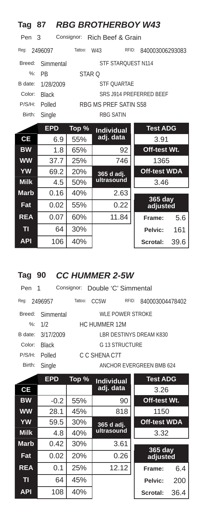| Tag           | 87                                |         | <b>RBG BROTHERBOY W43</b> |                         |  |  |  |  |
|---------------|-----------------------------------|---------|---------------------------|-------------------------|--|--|--|--|
| Pen           | Consignor: Rich Beef & Grain<br>3 |         |                           |                         |  |  |  |  |
| Reg:          | 2496097                           | Tattoo: | W43<br>RFID:              | 840003006293083         |  |  |  |  |
| Breed:        | Simmental                         |         | STF STARQUEST N114        |                         |  |  |  |  |
| $\frac{9}{6}$ | <b>PB</b>                         | STAR O  |                           |                         |  |  |  |  |
| B date:       | 1/28/2009                         |         | <b>STF OUARTAE</b>        |                         |  |  |  |  |
| Color:        | <b>Black</b>                      |         |                           | SRS J914 PREFERRED BEEF |  |  |  |  |
| P/S/H:        | Polled                            |         | RBG MS PREF SATIN S58     |                         |  |  |  |  |
| Birth:        | Single                            |         | <b>RBG SATIN</b>          |                         |  |  |  |  |
|               | <b>EPD</b>                        | Top %   | <b>Individual</b>         | <b>Test ADG</b>         |  |  |  |  |
| <b>CE</b>     | 6.9                               | 55%     | adj. data                 | 3.91                    |  |  |  |  |
| <b>BW</b>     | 1.8                               | 65%     | 92                        | Off-test Wt.            |  |  |  |  |
| <b>WW</b>     | 37.7                              | 25%     | 746                       | 1365                    |  |  |  |  |
| <b>YW</b>     | 69.2                              | 20%     | 365 d adj.                | <b>Off-test WDA</b>     |  |  |  |  |
| <b>Milk</b>   | 4.5                               | 50%     | ultrasound                | 3.46                    |  |  |  |  |
| <b>Marb</b>   | 0.16                              | 40%     | 2.63                      |                         |  |  |  |  |
| Fat           | 0.02                              | 55%     | 0.22                      | 365 day<br>adjusted     |  |  |  |  |
| <b>REA</b>    | 0.07                              | 60%     | 11.84                     | 5.6<br>Frame:           |  |  |  |  |
| TI            | 64                                | 30%     |                           | 161<br>Pelvic:          |  |  |  |  |
| <b>API</b>    | 106                               | 40%     |                           | Scrotal:<br>39.6        |  |  |  |  |

### **Tag 90** *CC HUMMER 2-5W*

| Pen 1  |                   |         |                   | Consignor: Double 'C' Simmental |                          |
|--------|-------------------|---------|-------------------|---------------------------------|--------------------------|
| Reg:   | 2496957           | Tattoo: | CC <sub>5</sub> W | RFID:                           | 840003004478402          |
|        | Breed: Simmental  |         |                   | WLE POWER STROKE                |                          |
|        | %: $1/2$          |         | HC HUMMER 12M     |                                 |                          |
|        | B date: 3/17/2009 |         |                   |                                 | LBR DESTINYS DREAM K830  |
| Color: | <b>Black</b>      |         |                   | G 13 STRUCTURE                  |                          |
| P/S/H: | Polled            |         | C.C. SHENA C7T    |                                 |                          |
| Birth: | Single            |         |                   |                                 | ANCHOR EVERGREEN BMB 624 |

|                | <b>EPD</b> | Top % | <b>Individual</b>                 | <b>Test ADG</b>     |      |
|----------------|------------|-------|-----------------------------------|---------------------|------|
| СE             |            |       | adj. data                         | 3.26                |      |
| <b>BW</b>      | $-0.2$     | 55%   | 90                                | Off-test Wt.        |      |
| <b>WW</b>      | 28.1       | 45%   | 818                               | 1150                |      |
| <b>YW</b>      | 59.5       | 30%   | <b>Off-test WDA</b><br>365 d adj. |                     |      |
| <b>Milk</b>    | 4.8        | 40%   | ultrasound                        | 3.32                |      |
| <b>Marb</b>    | 0.42       | 30%   | 3.61                              |                     |      |
| Fat            | 0.02       | 20%   | 0.26                              | 365 day<br>adjusted |      |
| <b>REA</b>     | 0.1        | 25%   | 12.12                             | Frame:              | 6.4  |
| T <sub>1</sub> | 64         | 45%   |                                   | Pelvic:             | 200  |
| <b>API</b>     | 108        | 40%   |                                   | Scrotal:            | 36.4 |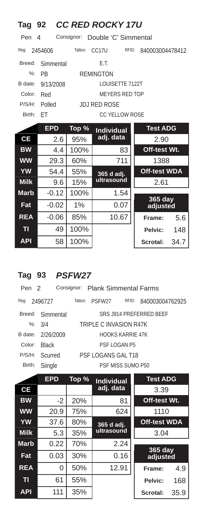| Tag 92        |            |            | <b>CC RED ROCKY 17U</b> |       |                     |      |
|---------------|------------|------------|-------------------------|-------|---------------------|------|
| Pen           | 4          | Consignor: | Double 'C' Simmental    |       |                     |      |
| Reg:          | 2454606    | Tattoo:    | CC17U                   | RFID: | 840003004478412     |      |
| Breed:        | Simmental  |            | E.T.                    |       |                     |      |
| $\frac{9}{6}$ | <b>PB</b>  |            | <b>REMINGTON</b>        |       |                     |      |
| B date:       | 9/13/2008  |            | LOUISETTE 7122T         |       |                     |      |
| Color:        | Red        |            | <b>MEYERS RED TOP</b>   |       |                     |      |
| P/S/H:        | Polled     |            | <b>JDJ RED ROSE</b>     |       |                     |      |
| Birth:        | FT         |            | <b>CC YELLOW ROSE</b>   |       |                     |      |
|               | <b>EPD</b> | Top %      | <b>Individual</b>       |       | <b>Test ADG</b>     |      |
| <b>CE</b>     | 2.6        | 95%        | adj. data               |       | 2.90                |      |
| <b>BW</b>     | $4\,4$     | 100%       |                         | 83    | Off-test Wt.        |      |
| <b>WW</b>     | 29.3       | 60%        |                         | 711   | 1388                |      |
| YW            | 54.4       | 55%        | 365 d adj.              |       | <b>Off-test WDA</b> |      |
| <b>Milk</b>   | 9.6        | 15%        | ultrasound              |       | 2.61                |      |
| <b>Marb</b>   | $-0.12$    | 100%       | 1.54                    |       |                     |      |
| Fat           | $-0.02$    | 1%         | 0.07                    |       | 365 day<br>adjusted |      |
| <b>REA</b>    | $-0.06$    | 85%        | 10.67                   |       | Frame:              | 5.6  |
| TI            | 49         | 100%       |                         |       | Pelvic:             | 148  |
| <b>API</b>    | 58         | 100%       |                         |       | <b>Scrotal:</b>     | 34.7 |

# **Tag 93** *PSFW27*

| Pen 2  |                   |         | Consignor: Plank Simmental Farms |                   |                         |
|--------|-------------------|---------|----------------------------------|-------------------|-------------------------|
| Reg:   | 2496727           | Tattoo: | PSFW <sub>27</sub>               | RFID:             | 840003004762925         |
|        | Breed: Simmental  |         |                                  |                   | SRS J914 PREFERRED BEEF |
|        | %: $3/4$          |         | TRIPLE C INVASION R47K           |                   |                         |
|        | B date: 2/26/2009 |         |                                  | HOOKS KARRIF 47K  |                         |
| Color: | <b>Black</b>      |         | PSF LOGAN P5                     |                   |                         |
|        | P/S/H: Scurred    |         | PSF LOGANS GAL T18               |                   |                         |
| Birth: | Siingle           |         |                                  | PSF MISS SUMO P50 |                         |
|        |                   |         |                                  |                   |                         |

|                | <b>EPD</b> | Top % | <b>Individual</b> | <b>Test ADG</b>     |      |
|----------------|------------|-------|-------------------|---------------------|------|
| СE             |            |       | adj. data         | 3.39                |      |
| <b>BW</b>      | $-2$       | 20%   | 81                | Off-test Wt.        |      |
| <b>WW</b>      | 20.9       | 75%   | 624               | 1110                |      |
| <b>YW</b>      | 37.6       | 80%   | 365 d adj.        | <b>Off-test WDA</b> |      |
| <b>Milk</b>    | 5.3        | 35%   | ultrasound        | 3.04                |      |
| <b>Marb</b>    | 0.22       | 70%   | 2.24              |                     |      |
| Fat            | 0.03       | 30%   | 0.16              | 365 day<br>adjusted |      |
| <b>REA</b>     | 0          | 50%   | 12.91             | Frame:              | 4.9  |
| T <sub>1</sub> | 61         | 55%   |                   | Pelvic:             | 168  |
| <b>API</b>     | 111        | 35%   |                   | Scrotal:            | 35.9 |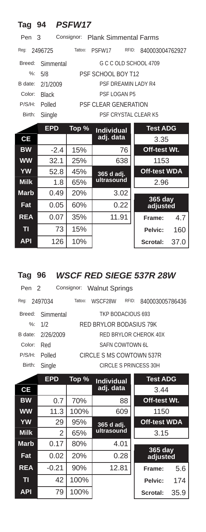| Tag 94      |              | <b>PSFW17</b> |                                  |                     |      |
|-------------|--------------|---------------|----------------------------------|---------------------|------|
| Pen         | 3            |               | Consignor: Plank Simmental Farms |                     |      |
| Reg:        | 2496725      | Tattoo:       | RFID:<br>PSFW17                  | 840003004762927     |      |
| Breed:      | Simmental    |               | G C C OLD SCHOOL 4709            |                     |      |
| $\%$ :      | 5/8          |               | PSF SCHOOL BOY T12               |                     |      |
| B date:     | 2/1/2009     |               | PSE DREAMIN LADY R4              |                     |      |
| Color:      | <b>Black</b> |               | PSF LOGAN P5                     |                     |      |
| P/S/H:      | Polled       |               | <b>PSF CLEAR GENERATION</b>      |                     |      |
| Birth:      | Siingle      |               | PSF CRYSTAL CLEAR K5             |                     |      |
|             | <b>EPD</b>   | Top %         | <b>Individual</b>                | <b>Test ADG</b>     |      |
| <b>CE</b>   |              |               | adj. data                        | 3.35                |      |
| <b>BW</b>   | $-2.4$       | 15%           | 76                               | Off-test Wt.        |      |
| <b>WW</b>   | 32.1         | 25%           | 638                              | 1153                |      |
| <b>YW</b>   | 52.8         | 45%           | $365$ d adj.                     | <b>Off-test WDA</b> |      |
| <b>Milk</b> | 1.8          | 65%           | ultrasound                       | 2.96                |      |
| <b>Marb</b> | 0.49         | 20%           | 3.02                             | 365 day             |      |
| Fat         | 0.05         | 60%           | 0.22                             | adjusted            |      |
| <b>REA</b>  | 0.07         | 35%           | 11.91                            | Frame:              | 4.7  |
| п           | 73           | 15%           |                                  | Pelvic:             | 160  |
| <b>API</b>  | 126          | 10%           |                                  | Scrotal:            | 37.0 |

### **Tag 96** *WSCF RED SIEGE 537R 28W*

| Pen 2  |                   |         | Consignor: Walnut Springs |       |                       |
|--------|-------------------|---------|---------------------------|-------|-----------------------|
| Reg:   | 2497034           | Tattoo: | WSCF28W                   | RFID: | 840003005786436       |
|        | Breed: Simmental  |         | TKP BODACIOUS 693         |       |                       |
|        | $\%: 1/2$         |         | RED BRYLOR BODASIUS 79K   |       |                       |
|        | B date: 2/26/2009 |         |                           |       | RED BRYLOR CHEROK 40X |
| Color: | Red               |         | SAEN COWTOWN 6L           |       |                       |
| P/S/H: | Polled            |         | CIRCLE S MS COWTOWN 537R  |       |                       |
| Birth: | Single            |         |                           |       | CIRCLE S PRINCESS 30H |
|        |                   |         |                           |       |                       |

|                | <b>EPD</b> | Top % | <b>Individual</b> | <b>Test ADG</b>     |      |
|----------------|------------|-------|-------------------|---------------------|------|
| СE             |            |       | adj. data         | 3.44                |      |
| <b>BW</b>      | 0.7        | 70%   | 88                | Off-test Wt.        |      |
| <b>WW</b>      | 11.3       | 100%  | 609               | 1150                |      |
| <b>YW</b>      | 29         | 95%   | 365 d adj.        | <b>Off-test WDA</b> |      |
| <b>Milk</b>    | 2          | 65%   | ultrasound        | 3.15                |      |
| <b>Marb</b>    | 0.17       | 80%   | 4.01              |                     |      |
| Fat            | 0.02       | 20%   | 0.28              | 365 day<br>adjusted |      |
| <b>REA</b>     | $-0.21$    | 90%   | 12.81             | Frame:              | 5.6  |
| T <sub>1</sub> | 42         | 100%  |                   | Pelvic:             | 174  |
| <b>API</b>     | 79         | 100%  |                   | Scrotal:            | 35.9 |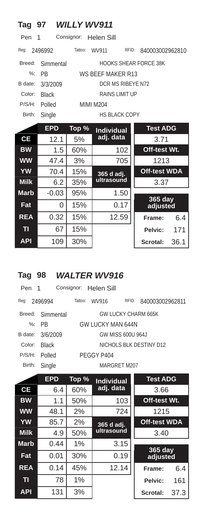| Tag         | 97           | <b>WILLY WV911</b> |                       |                              |
|-------------|--------------|--------------------|-----------------------|------------------------------|
| Pen         | 1            | Consignor:         | Helen Sill            |                              |
| Req:        | 2496992      | Tattoo:            | WV911<br>RFID:        | 840003002962810              |
| Breed:      | Simmental    |                    |                       | <b>HOOKS SHEAR FORCE 38K</b> |
| $\%$ :      | <b>PB</b>    |                    | WS BEEF MAKER R13     |                              |
| B date:     | 3/3/2009     |                    | DCR MS RIBEYE N72     |                              |
| Color:      | <b>Black</b> |                    | <b>RAINS LIMIT UP</b> |                              |
| P/S/H:      | Polled       |                    | <b>MIMI M204</b>      |                              |
| Birth:      | Single       |                    | <b>HS BLACK COPY</b>  |                              |
|             | <b>EPD</b>   | Top %              | <b>Individual</b>     | <b>Test ADG</b>              |
| СE          | 12.1         | 5%                 | adj. data             | 3.71                         |
| <b>BW</b>   | 1.5          | 60%                | 102                   | Off-test Wt.                 |
| <b>WW</b>   | 47.4         | 3%                 | 705                   | 1213                         |
| <b>YW</b>   | 70.4         | 15%                | 365 d adj.            | <b>Off-test WDA</b>          |
| <b>Milk</b> | 6.2          | 35%                | ultrasound            | 3.37                         |
| <b>Marb</b> | $-0.03$      | 95%                | 1.50                  |                              |
| Fat         | 0            | 15%                | 0.17                  | 365 day<br>adjusted          |
| <b>REA</b>  | 0.32         | 15%                | 12.59                 | 6.4<br>Frame:                |
| TI          | 67           | 15%                |                       | 171<br>Pelvic:               |
| <b>API</b>  | 109          | 30%                |                       | Scrotal:<br>36.1             |

### **Tag 98** *WALTER WV916*

| Pen 1   |                  |         | Consignor: Helen Sill |                     |                         |
|---------|------------------|---------|-----------------------|---------------------|-------------------------|
| Reg:    | 2496994          | Tattoo: | WV916                 | RFID:               | 840003002962811         |
|         | Breed: Simmental |         |                       | GW LUCKY CHARM 665K |                         |
|         | $%:$ PR          |         | GW LUCKY MAN 644N     |                     |                         |
| B date: | 3/6/2009         |         |                       | GW MISS 600U 964J   |                         |
| Color:  | <b>Black</b>     |         |                       |                     | NICHOLS BLK DESTINY D12 |
| P/S/H:  | Polled           |         | PEGGY P404            |                     |                         |
| Birth:  | Single           |         |                       | MARGRET M207        |                         |
|         |                  |         |                       |                     |                         |

|             | <b>EPD</b> | Top % | <b>Individual</b> | <b>Test ADG</b>       |      |
|-------------|------------|-------|-------------------|-----------------------|------|
| СE          | 6.4        | 60%   | adj. data         | 3.66                  |      |
| <b>BW</b>   | 1.1        | 50%   | 103               | Off-test Wt.          |      |
| <b>WW</b>   | 48.1       | 2%    | 724               | 1215                  |      |
| <b>YW</b>   | 85.7       | 2%    | 365 d adj.        | <b>Off-test WDA</b>   |      |
| <b>Milk</b> | 4.9        | 50%   | ultrasound        | 3.40                  |      |
| <b>Marb</b> | 0.44       | 1%    | 3.15              |                       |      |
| Fat         | 0.01       | 30%   | 0.19              | $365$ day<br>adjusted |      |
| <b>REA</b>  | 0.14       | 45%   | 12.14             | Frame:                | 6.4  |
| п           | 78         | 1%    |                   | Pelvic:               | 161  |
| <b>API</b>  | 131        | 3%    |                   | Scrotal:              | 37.3 |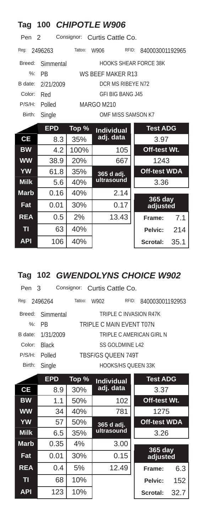| Tag              |            |         | 100 CHIPOTLE W906            |                         |
|------------------|------------|---------|------------------------------|-------------------------|
| Pen <sub>2</sub> |            |         | Consignor: Curtis Cattle Co. |                         |
| Reg:             | 2496263    | Tattoo: | RFID:<br>W906                | 840003001192965         |
| Breed:           | Simmental  |         | HOOKS SHEAR FORCE 38K        |                         |
| $\frac{9}{6}$    | PR         |         | WS REFF MAKER R13            |                         |
| B date:          | 2/21/2009  |         | DCR MS RIBEYE N72            |                         |
| Color:           | Red        |         | <b>GFI BIG BANG J45</b>      |                         |
| P/S/H:           | Polled     |         | MARGO M210                   |                         |
| Birth:           | Single     |         | OMF MISS SAMSON K7           |                         |
|                  | <b>EPD</b> | Top %   | <b>Individual</b>            | <b>Test ADG</b>         |
| <b>CE</b>        | 8.3        | 35%     | adj. data                    | 3.97                    |
| <b>BW</b>        | 4.2        | 100%    | 105                          | Off-test Wt.            |
| <b>WW</b>        | 38.9       | 20%     | 667                          | 1243                    |
| <b>YW</b>        | 61.8       | 35%     | 365 d adj.                   | <b>Off-test WDA</b>     |
| <b>Milk</b>      | 5.6        | 40%     | ultrasound                   | 3.36                    |
| <b>Marb</b>      | 0.16       | 40%     | 2.14                         |                         |
| Fat              | 0.01       | 30%     | 0.17                         | 365 day<br>adjusted     |
| <b>REA</b>       | 0.5        | 2%      | 13.43                        | 7.1<br>Frame:           |
| TI               | 63         | 40%     |                              | Pelvic:<br>214          |
| <b>API</b>       | 106        | 40%     |                              | 35.1<br><b>Scrotal:</b> |

### **Tag 102** *GWENDOLYNS CHOICE W902*

| Pen 3   |                  | Consignor: Curtis Cattle Co. |                           |                          |
|---------|------------------|------------------------------|---------------------------|--------------------------|
| Req:    | 2496264          | Tattoo:<br>W902              | RFID:                     | 840003001192953          |
|         | Breed: Simmental |                              | TRIPLE C INVASION R47K    |                          |
|         | $\%$ : PR        | TRIPLE C MAIN EVENT T07N     |                           |                          |
| B date: | 1/31/2009        |                              |                           | TRIPLE C AMERICAN GIRL N |
| Color:  | <b>Black</b>     |                              | SS GOLDMINE L42           |                          |
| P/S/H:  | Polled           | <b>TBSF/GS OUEEN 749T</b>    |                           |                          |
| Birth:  | Single           |                              | <b>HOOKS/HS OUEEN 33K</b> |                          |

|                | <b>EPD</b> | Top % | <b>Individual</b>        | <b>Test ADG</b>     |      |
|----------------|------------|-------|--------------------------|---------------------|------|
| <b>CE</b>      | 8.9        | 30%   | adj. data                | 3.37                |      |
| <b>BW</b>      | 1.1        | 50%   | 102                      | Off-test Wt.        |      |
| <b>WW</b>      | 34         | 40%   | 781                      | 1275                |      |
| <b>YW</b>      | 57         | 50%   | 365 d adj.<br>ultrasound | <b>Off-test WDA</b> |      |
| <b>Milk</b>    | 6.5        | 35%   |                          | 3.26                |      |
| <b>Marb</b>    | 0.35       | 4%    | 3.00                     |                     |      |
| Fat            | 0.01       | 30%   | 0.15                     | 365 day<br>adjusted |      |
| <b>REA</b>     | 0.4        | 5%    | 12.49                    | Frame:              | 6.3  |
| T <sub>1</sub> | 68         | 10%   |                          | Pelvic:             | 152  |
| <b>API</b>     | 123        | 10%   |                          | Scrotal:            | 32.7 |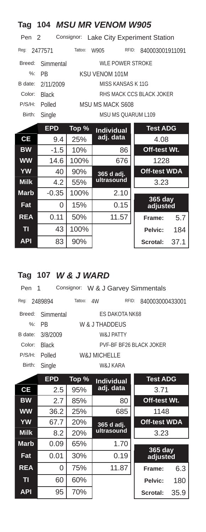| Tag              |              |            | <b>104 MSU MR VENOM W905</b> |                              |  |  |
|------------------|--------------|------------|------------------------------|------------------------------|--|--|
| Pen <sub>2</sub> |              | Consignor: |                              | Lake City Experiment Station |  |  |
| Req:             | 2477571      | Tattoo:    | RFID:<br>W905                | 840003001911091              |  |  |
| Breed:           | Simmental    |            | <b>WLE POWER STROKE</b>      |                              |  |  |
| $\frac{9}{6}$ :  | <b>PB</b>    |            | <b>KSU VENOM 101M</b>        |                              |  |  |
| B date:          | 2/11/2009    |            | MISS KANSAS K11G             |                              |  |  |
| Color:           | <b>Black</b> |            | RHS MACK CCS BLACK JOKER     |                              |  |  |
| P/S/H:           | Polled       |            | MSU MS MACK S608             |                              |  |  |
| Birth:           | Single       |            | <b>MSU MS QUARUM L109</b>    |                              |  |  |
|                  | <b>EPD</b>   | Top %      | <b>Individual</b>            | <b>Test ADG</b>              |  |  |
| <b>CE</b>        | 9.4          | 25%        | adj. data                    | 4.08                         |  |  |
| <b>BW</b>        | $-1.5$       | 10%        | 86                           | Off-test Wt.                 |  |  |
| <b>WW</b>        | 14.6         | 100%       | 676                          | 1228                         |  |  |
| <b>YW</b>        | 40           | 90%        | 365 d adj.                   | <b>Off-test WDA</b>          |  |  |
| <b>Milk</b>      | 4.2          | 55%        | ultrasound                   | 3.23                         |  |  |
| <b>Marb</b>      | $-0.35$      | 100%       | 2.10                         |                              |  |  |
| Fat              | 0            | 15%        | 0.15                         | 365 day<br>adjusted          |  |  |
| <b>REA</b>       | 0.11         | 50%        | 11.57                        | 5.7<br>Frame:                |  |  |
| T <sub>1</sub>   | 43           | 100%       |                              | 184<br>Pelvic:               |  |  |
| <b>API</b>       | 83           | 90%        |                              | Scrotal:<br>37.1             |  |  |

# **Tag 107** *W & J WARD*

| Pen 1  |                  | Consignor: W & J Garvey Simmentals |                |                         |  |  |  |
|--------|------------------|------------------------------------|----------------|-------------------------|--|--|--|
| Reg:   | 2489894          | Tattoo:<br>4W                      | RFID:          | 840003000433001         |  |  |  |
|        | Breed: Simmental |                                    | ES DAKOTA NK68 |                         |  |  |  |
|        | $\%$ : PR        | W & J THADDEUS                     |                |                         |  |  |  |
|        | B date: 3/8/2009 | W& I PATTY                         |                |                         |  |  |  |
| Color: | <b>Black</b>     |                                    |                | PVE-BE BE26 BLACK JOKER |  |  |  |
| P/S/H: | Polled           | W& J MICHELL F                     |                |                         |  |  |  |
| Birth: | Single           |                                    | W&J KARA       |                         |  |  |  |
|        |                  |                                    |                |                         |  |  |  |

|                | <b>EPD</b> | Top % | <b>Individual</b> | <b>Test ADG</b>            |      |
|----------------|------------|-------|-------------------|----------------------------|------|
| <b>CE</b>      | 2.5        | 95%   | adj. data         | 3.71                       |      |
| <b>BW</b>      | 2.7        | 85%   | 80                | Off-test Wt.               |      |
| <b>WW</b>      | 36.2       | 25%   | 685               | 1148                       |      |
| <b>YW</b>      | 67.7       | 20%   | 365 d adj.        | <b>Off-test WDA</b>        |      |
| <b>Milk</b>    | 8.2        | 20%   | ultrasound        | 3.23                       |      |
| <b>Marb</b>    | 0.09       | 65%   | 1.70              |                            |      |
| Fat            | 0.01       | 30%   | 0.19              | <b>365 day</b><br>adjusted |      |
| <b>REA</b>     | 0          | 75%   | 11.87             | Frame:                     | 6.3  |
| T <sub>l</sub> | 60         | 60%   |                   | Pelvic:                    | 180  |
| <b>API</b>     | 95         | 70%   |                   | Scrotal:                   | 35.9 |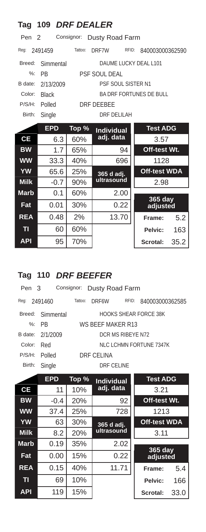| Tag              | 109 DRF DEALER |            |                                |                     |      |  |  |
|------------------|----------------|------------|--------------------------------|---------------------|------|--|--|
| Pen <sub>2</sub> |                | Consignor: | Dusty Road Farm                |                     |      |  |  |
| Req:             | 2491459        | Tattoo:    | RFID:<br>DRF7W                 | 840003000362590     |      |  |  |
| Breed:           | Simmental      |            | DAUME LUCKY DEAL L101          |                     |      |  |  |
| $\frac{9}{6}$ :  | <b>PR</b>      |            | <b>PSF SOUL DEAL</b>           |                     |      |  |  |
| B date:          | 2/13/2009      |            | <b>PSF SOUL SISTER N1</b>      |                     |      |  |  |
| Color:           | <b>Black</b>   |            | <b>BA DRF FORTUNES DE BULL</b> |                     |      |  |  |
| P/S/H:           | Polled         |            | DRF DFFBFF                     |                     |      |  |  |
| Birth:           | Single         |            | <b>DRF DELILAH</b>             |                     |      |  |  |
|                  | <b>EPD</b>     | Top %      | <b>Individual</b>              | <b>Test ADG</b>     |      |  |  |
| <b>CE</b>        | 6.3            | 60%        | adj. data                      | 3.57                |      |  |  |
| <b>BW</b>        | 1.7            | 65%        | 94                             | Off-test Wt.        |      |  |  |
| <b>WW</b>        | 33.3           | 40%        | 696                            | 1128                |      |  |  |
| <b>YW</b>        | 65.6           | 25%        | 365 d adj.                     | <b>Off-test WDA</b> |      |  |  |
| <b>Milk</b>      | $-0.7$         | 90%        | ultrasound<br>2.98             |                     |      |  |  |
| <b>Marb</b>      | 0.1            | 60%        | 2.00                           |                     |      |  |  |
| Fat              | 0.01           | 30%        | 0.22                           | 365 day<br>adjusted |      |  |  |
| <b>REA</b>       | 0.48           | 2%         | 13.70                          | Frame:              | 5.2  |  |  |
| TI               | 60             | 60%        |                                | Pelvic:             | 163  |  |  |
| <b>API</b>       | 95             | 70%        |                                | Scrotal:            | 35.2 |  |  |

# **Tag 110** *DRF BEEFER*

| Pen 3  |                  | Consignor: Dusty Road Farm |            |                       |  |  |  |
|--------|------------------|----------------------------|------------|-----------------------|--|--|--|
| Reg:   | 2491460          | Tattoo:<br>DRF6W           | RFID:      | 840003000362585       |  |  |  |
|        | Breed: Simmental |                            |            | HOOKS SHEAR FORCE 38K |  |  |  |
|        | $\%$ : PR        | WS BEEF MAKER R13          |            |                       |  |  |  |
|        | B date: 2/1/2009 | DCR MS RIBEYE N72          |            |                       |  |  |  |
| Color: | Red              | NLC LCHMN FORTUNE 7347K    |            |                       |  |  |  |
| P/S/H: | Polled           | DRE CELINA                 |            |                       |  |  |  |
| Birth: | Single           |                            | DRE CELINE |                       |  |  |  |

|             | <b>EPD</b> | Top % | <b>Test ADG</b><br><b>Individual</b> |                     |      |
|-------------|------------|-------|--------------------------------------|---------------------|------|
| СE          | 11         | 10%   | adj. data                            | 3.21                |      |
| <b>BW</b>   | $-0.4$     | 20%   | 92                                   | Off-test Wt.        |      |
| <b>WW</b>   | 37.4       | 25%   | 728                                  | 1213                |      |
| <b>YW</b>   | 63         | 30%   | <b>Off-test WDA</b><br>365 d adj.    |                     |      |
| <b>Milk</b> | 8.2        | 20%   | ultrasound                           | 3.11                |      |
| <b>Marb</b> | 0.19       | 35%   | 2.02                                 |                     |      |
| Fat         | 0.00       | 15%   | 0.22                                 | 365 day<br>adjusted |      |
| <b>REA</b>  | 0.15       | 40%   | 11.71                                | Frame:              | 5.4  |
| T1          | 69         | 10%   |                                      | Pelvic:             | 166  |
| <b>API</b>  | 119        | 15%   |                                      | Scrotal:            | 33.0 |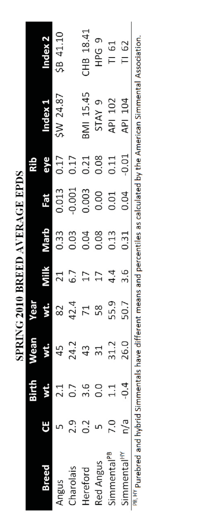SPRING 2010 BREED AVERAGE EPDS

|                                                                                                                                            |     | 3irth         | Wean         | <b>TESM</b> |         |      |       |         |                   |           |
|--------------------------------------------------------------------------------------------------------------------------------------------|-----|---------------|--------------|-------------|---------|------|-------|---------|-------------------|-----------|
| Breed                                                                                                                                      |     | š.            | <b>Kille</b> |             | Milk    | qıeM | ie.   | eye     | <b>Lyapul</b>     | ndex 2    |
| Angus                                                                                                                                      |     | 2.1           | 45           | 82          |         | 0.33 | 0.013 | 0.17    | SW 24.87          | SB 41.10  |
| Charolais                                                                                                                                  | 2.9 |               | 24.2         | 42.4        |         | 0.03 | 0.001 | 0.17    |                   |           |
| <b>Hereford</b>                                                                                                                            | Ci  | 3.6           | 43           |             |         | 0.04 | 0.003 | 0.21    | BMI 15.45         | CHB 18.41 |
| Red Angus                                                                                                                                  |     | o.<br>O       | 31           |             |         | 0.08 | 0.00  | 0.08    | STAY <sub>9</sub> | HPG 9     |
| immental <sup>PB</sup>                                                                                                                     | 2.0 | $\frac{1}{1}$ | 31.2         | 55.9        | 4.<br>4 | 0.13 | 0.01  | 0.11    | API 102           | TI 61     |
| simmental <sup>HY</sup>                                                                                                                    | n/a | $-0.4$        | 26.0         | 50.7        |         | 0.31 | 0.04  | $-0.01$ | API 104           | TI 62     |
| <sup>PB, HY</sup> Purebred and hybrid Simmentals have different means and percentiles as calculated by the American Simmental Association. |     |               |              |             |         |      |       |         |                   |           |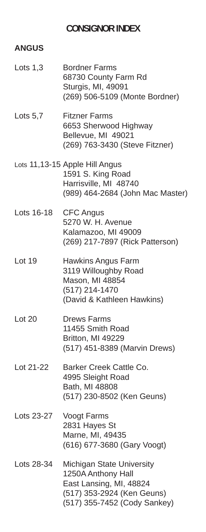#### **CONSIGNOR INDEX**

#### **ANGUS**

| Lots $1,3$ | <b>Bordner Farms</b><br>68730 County Farm Rd<br>Sturgis, MI, 49091<br>(269) 506-5109 (Monte Bordner)                                            |
|------------|-------------------------------------------------------------------------------------------------------------------------------------------------|
| Lots $5,7$ | <b>Fitzner Farms</b><br>6653 Sherwood Highway<br>Bellevue, MI 49021<br>(269) 763-3430 (Steve Fitzner)                                           |
|            | Lots 11,13-15 Apple Hill Angus<br>1591 S. King Road<br>Harrisville, MI 48740<br>(989) 464-2684 (John Mac Master)                                |
| Lots 16-18 | <b>CFC Angus</b><br>5270 W. H. Avenue<br>Kalamazoo, MI 49009<br>(269) 217-7897 (Rick Patterson)                                                 |
| Lot 19     | Hawkins Angus Farm<br>3119 Willoughby Road<br>Mason, MI 48854<br>(517) 214-1470<br>(David & Kathleen Hawkins)                                   |
| Lot 20     | <b>Drews Farms</b><br>11455 Smith Road<br>Britton, MI 49229<br>(517) 451-8389 (Marvin Drews)                                                    |
| Lot 21-22  | Barker Creek Cattle Co.<br>4995 Sleight Road<br>Bath, MI 48808<br>(517) 230-8502 (Ken Geuns)                                                    |
| Lots 23-27 | Voogt Farms<br>2831 Hayes St<br>Marne, MI, 49435<br>(616) 677-3680 (Gary Voogt)                                                                 |
| Lots 28-34 | <b>Michigan State University</b><br>1250A Anthony Hall<br>East Lansing, MI, 48824<br>(517) 353-2924 (Ken Geuns)<br>(517) 355-7452 (Cody Sankey) |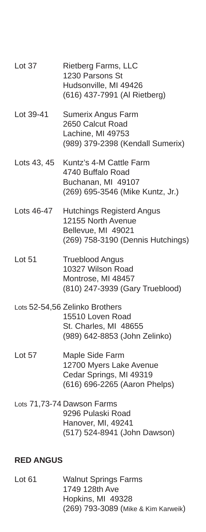| Lot 37           | <b>Rietberg Farms, LLC</b><br>1230 Parsons St<br>Hudsonville, MI 49426<br>(616) 437-7991 (Al Rietberg)                |
|------------------|-----------------------------------------------------------------------------------------------------------------------|
| Lot 39-41        | Sumerix Angus Farm<br>2650 Calcut Road<br>Lachine, MI 49753<br>(989) 379-2398 (Kendall Sumerix)                       |
| Lots 43, 45      | Kuntz's 4-M Cattle Farm<br>4740 Buffalo Road<br>Buchanan, MI 49107<br>(269) 695-3546 (Mike Kuntz, Jr.)                |
|                  | Lots 46-47 Hutchings Registerd Angus<br>12155 North Avenue<br>Bellevue, MI 49021<br>(269) 758-3190 (Dennis Hutchings) |
| Lot 51           | <b>Trueblood Angus</b><br>10327 Wilson Road<br>Montrose, MI 48457<br>(810) 247-3939 (Gary Trueblood)                  |
|                  | Lots 52-54,56 Zelinko Brothers<br>15510 Loven Road<br>St. Charles, MI 48655<br>(989) 642-8853 (John Zelinko)          |
| Lot 57           | Maple Side Farm<br>12700 Myers Lake Avenue<br>Cedar Springs, MI 49319<br>(616) 696-2265 (Aaron Phelps)                |
|                  | Lots 71,73-74 Dawson Farms<br>9296 Pulaski Road<br>Hanover, MI, 49241<br>(517) 524-8941 (John Dawson)                 |
| <b>RED ANGUS</b> |                                                                                                                       |

#### Lot 61 Walnut Springs Farms 1749 128th Ave Hopkins, MI 49328 (269) 793-3089 (Mike & Kim Karweik)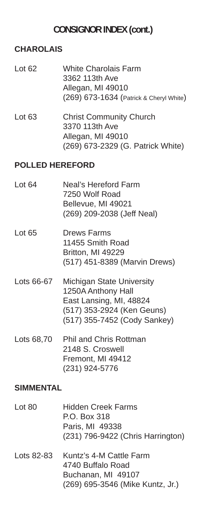#### **CONSIGNOR INDEX (cont.)**

#### **CHAROLAIS**

- Lot 62 White Charolais Farm 3362 113th Ave Allegan, MI 49010 (269) 673-1634 (Patrick & Cheryl White)
- Lot 63 Christ Community Church 3370 113th Ave Allegan, MI 49010 (269) 673-2329 (G. Patrick White)

#### **POLLED HEREFORD**

- Lot 64 Neal's Hereford Farm 7250 Wolf Road Bellevue, MI 49021 (269) 209-2038 (Jeff Neal)
- Lot 65 Drews Farms 11455 Smith Road Britton, MI 49229 (517) 451-8389 (Marvin Drews)
- Lots 66-67 Michigan State University 1250A Anthony Hall East Lansing, MI, 48824 (517) 353-2924 (Ken Geuns) (517) 355-7452 (Cody Sankey)
- Lots 68,70 Phil and Chris Rottman 2148 S. Croswell Fremont, MI 49412 (231) 924-5776

#### **SIMMENTAL**

- Lot 80 Hidden Creek Farms P.O. Box 318 Paris, MI 49338 (231) 796-9422 (Chris Harrington)
- Lots 82-83 Kuntz's 4-M Cattle Farm 4740 Buffalo Road Buchanan, MI 49107 (269) 695-3546 (Mike Kuntz, Jr.)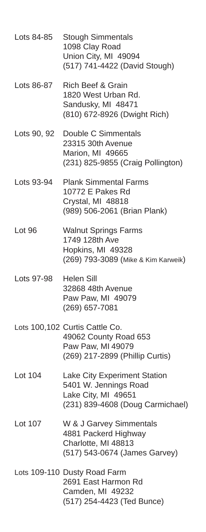- Lots 84-85 Stough Simmentals 1098 Clay Road Union City, MI 49094 (517) 741-4422 (David Stough)
- Lots 86-87 Rich Beef & Grain 1820 West Urban Rd. Sandusky, MI 48471 (810) 672-8926 (Dwight Rich)
- Lots 90, 92 Double C Simmentals 23315 30th Avenue Marion, MI 49665 (231) 825-9855 (Craig Pollington)
- Lots 93-94 Plank Simmental Farms 10772 E Pakes Rd Crystal, MI 48818 (989) 506-2061 (Brian Plank)
- Lot 96 Walnut Springs Farms 1749 128th Ave Hopkins, MI 49328 (269) 793-3089 (Mike & Kim Karweik)
- Lots 97-98 Helen Sill 32868 48th Avenue Paw Paw, MI 49079 (269) 657-7081
- Lots 100,102 Curtis Cattle Co. 49062 County Road 653 Paw Paw, MI 49079 (269) 217-2899 (Phillip Curtis)
- Lot 104 Lake City Experiment Station 5401 W. Jennings Road Lake City, MI 49651 (231) 839-4608 (Doug Carmichael)
- Lot 107 W & J Garvey Simmentals 4881 Packerd Highway Charlotte, MI 48813 (517) 543-0674 (James Garvey)
- Lots 109-110 Dusty Road Farm 2691 East Harmon Rd Camden, MI 49232 (517) 254-4423 (Ted Bunce)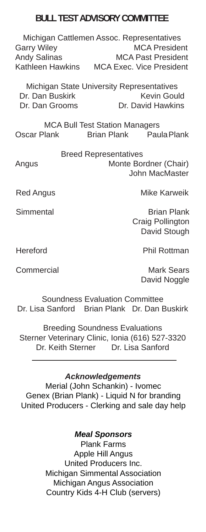#### **BULL TEST ADVISORY COMMITTEE**

Michigan Cattlemen Assoc. Representatives Garry Wiley **MCA President** Andy Salinas MCA Past President Kathleen Hawkins MCA Exec. Vice President

Michigan State University Representatives Dr. Dan Buskirk Kevin Gould Dr. Dan Grooms Dr. David Hawkins

MCA Bull Test Station Managers Oscar Plank Brian Plank Paula Plank

Breed Representatives Angus Monte Bordner (Chair) John MacMaster

Red Angus **Mike Karweik** 

Simmental Brian Plank Craig Pollington David Stough

Hereford Phil Rottman

Commercial Mark Sears David Noggle

Soundness Evaluation Committee Dr. Lisa Sanford Brian Plank Dr. Dan Buskirk

Breeding Soundness Evaluations Sterner Veterinary Clinic, Ionia (616) 527-3320 Dr. Keith Sterner Dr. Lisa Sanford

*Acknowledgements*

Merial (John Schankin) - Ivomec Genex (Brian Plank) - Liquid N for branding United Producers - Clerking and sale day help

#### *Meal Sponsors*

Plank Farms Apple Hill Angus United Producers Inc. Michigan Simmental Association Michigan Angus Association Country Kids 4-H Club (servers)